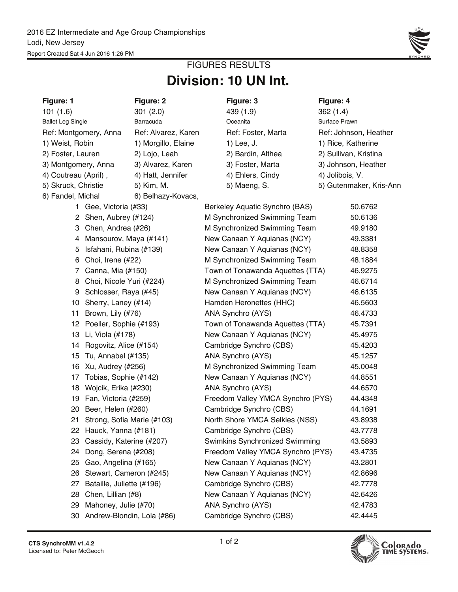

# **Division: 10 UN Int.** FIGURES RESULTS

| Figure: 1                | Figure: 2                     | Figure: 3                         | Figure: 4               |
|--------------------------|-------------------------------|-----------------------------------|-------------------------|
| 101(1.6)                 | 301(2.0)                      | 439 (1.9)                         | 362(1.4)                |
| <b>Ballet Leg Single</b> | Barracuda                     | Oceanita                          | Surface Prawn           |
| Ref: Montgomery, Anna    | Ref: Alvarez, Karen           | Ref: Foster, Marta                | Ref: Johnson, Heather   |
| 1) Weist, Robin          | 1) Morgillo, Elaine           | 1) Lee, J.                        | 1) Rice, Katherine      |
| 2) Foster, Lauren        | 2) Lojo, Leah                 | 2) Bardin, Althea                 | 2) Sullivan, Kristina   |
| 3) Montgomery, Anna      | 3) Alvarez, Karen             | 3) Foster, Marta                  | 3) Johnson, Heather     |
| 4) Coutreau (April),     | 4) Hatt, Jennifer             | 4) Ehlers, Cindy                  | 4) Jolibois, V.         |
| 5) Skruck, Christie      | 5) Kim, M.                    | 5) Maeng, S.                      | 5) Gutenmaker, Kris-Ann |
| 6) Fandel, Michal        | 6) Belhazy-Kovacs,            |                                   |                         |
|                          | 1 Gee, Victoria (#33)         | Berkeley Aquatic Synchro (BAS)    | 50.6762                 |
|                          | 2 Shen, Aubrey (#124)         | M Synchronized Swimming Team      | 50.6136                 |
|                          | 3 Chen, Andrea (#26)          | M Synchronized Swimming Team      | 49.9180                 |
|                          | 4 Mansourov, Maya (#141)      | New Canaan Y Aquianas (NCY)       | 49.3381                 |
| 5                        | Isfahani, Rubina (#139)       | New Canaan Y Aquianas (NCY)       | 48.8358                 |
| 6                        | Choi, Irene (#22)             | M Synchronized Swimming Team      | 48.1884                 |
|                          | 7 Canna, Mia (#150)           | Town of Tonawanda Aquettes (TTA)  | 46.9275                 |
|                          | 8 Choi, Nicole Yuri (#224)    | M Synchronized Swimming Team      | 46.6714                 |
| 9                        | Schlosser, Raya (#45)         | New Canaan Y Aquianas (NCY)       | 46.6135                 |
|                          | 10 Sherry, Laney (#14)        | Hamden Heronettes (HHC)           | 46.5603                 |
| 11 Brown, Lily (#76)     |                               | ANA Synchro (AYS)                 | 46.4733                 |
|                          | 12 Poeller, Sophie (#193)     | Town of Tonawanda Aquettes (TTA)  | 45.7391                 |
| 13 Li, Viola (#178)      |                               | New Canaan Y Aquianas (NCY)       | 45.4975                 |
|                          | 14 Rogovitz, Alice (#154)     | Cambridge Synchro (CBS)           | 45.4203                 |
| 15                       | Tu, Annabel (#135)            | ANA Synchro (AYS)                 | 45.1257                 |
| 16                       | Xu, Audrey (#256)             | M Synchronized Swimming Team      | 45.0048                 |
|                          | 17 Tobias, Sophie (#142)      | New Canaan Y Aquianas (NCY)       | 44.8551                 |
|                          | 18 Wojcik, Erika (#230)       | ANA Synchro (AYS)                 | 44.6570                 |
|                          | 19 Fan, Victoria (#259)       | Freedom Valley YMCA Synchro (PYS) | 44.4348                 |
|                          | 20 Beer, Helen (#260)         | Cambridge Synchro (CBS)           | 44.1691                 |
|                          | 21 Strong, Sofia Marie (#103) | North Shore YMCA Selkies (NSS)    | 43.8938                 |
|                          | 22 Hauck, Yanna (#181)        | Cambridge Synchro (CBS)           | 43.7778                 |
| 23                       | Cassidy, Katerine (#207)      | Swimkins Synchronized Swimming    | 43.5893                 |
| 24                       | Dong, Serena (#208)           | Freedom Valley YMCA Synchro (PYS) | 43.4735                 |
| 25                       | Gao, Angelina (#165)          | New Canaan Y Aquianas (NCY)       | 43.2801                 |
| 26                       | Stewart, Cameron (#245)       | New Canaan Y Aquianas (NCY)       | 42.8696                 |
| 27                       | Bataille, Juliette (#196)     | Cambridge Synchro (CBS)           | 42.7778                 |
| 28                       | Chen, Lillian (#8)            | New Canaan Y Aquianas (NCY)       | 42.6426                 |
| 29                       | Mahoney, Julie (#70)          | ANA Synchro (AYS)                 | 42.4783                 |
|                          | 30 Andrew-Blondin, Lola (#86) | Cambridge Synchro (CBS)           | 42.4445                 |

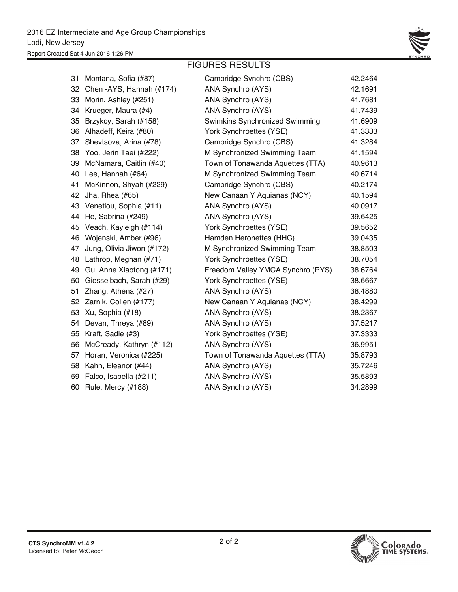

### FIGURES RESULTS

| 31 | Montana, Sofia (#87)      | Cambridge Synchro (CBS)               | 42.2464 |
|----|---------------------------|---------------------------------------|---------|
| 32 | Chen - AYS, Hannah (#174) | ANA Synchro (AYS)                     | 42.1691 |
| 33 | Morin, Ashley (#251)      | ANA Synchro (AYS)                     | 41.7681 |
| 34 | Krueger, Maura (#4)       | ANA Synchro (AYS)                     | 41.7439 |
| 35 | Brzykcy, Sarah (#158)     | <b>Swimkins Synchronized Swimming</b> | 41.6909 |
| 36 | Alhadeff, Keira (#80)     | York Synchroettes (YSE)               | 41.3333 |
| 37 | Shevtsova, Arina (#78)    | Cambridge Synchro (CBS)               | 41.3284 |
| 38 | Yoo, Jerin Taei (#222)    | M Synchronized Swimming Team          | 41.1594 |
| 39 | McNamara, Caitlin (#40)   | Town of Tonawanda Aquettes (TTA)      | 40.9613 |
| 40 | Lee, Hannah (#64)         | M Synchronized Swimming Team          | 40.6714 |
| 41 | McKinnon, Shyah (#229)    | Cambridge Synchro (CBS)               | 40.2174 |
| 42 | Jha, Rhea (#65)           | New Canaan Y Aquianas (NCY)           | 40.1594 |
| 43 | Venetiou, Sophia (#11)    | ANA Synchro (AYS)                     | 40.0917 |
| 44 | He, Sabrina (#249)        | ANA Synchro (AYS)                     | 39.6425 |
| 45 | Veach, Kayleigh (#114)    | York Synchroettes (YSE)               | 39.5652 |
| 46 | Wojenski, Amber (#96)     | Hamden Heronettes (HHC)               | 39.0435 |
| 47 | Jung, Olivia Jiwon (#172) | M Synchronized Swimming Team          | 38.8503 |
| 48 | Lathrop, Meghan (#71)     | York Synchroettes (YSE)               | 38.7054 |
| 49 | Gu, Anne Xiaotong (#171)  | Freedom Valley YMCA Synchro (PYS)     | 38.6764 |
| 50 | Giesselbach, Sarah (#29)  | York Synchroettes (YSE)               | 38.6667 |
| 51 | Zhang, Athena (#27)       | ANA Synchro (AYS)                     | 38.4880 |
| 52 | Zarnik, Collen (#177)     | New Canaan Y Aquianas (NCY)           | 38.4299 |
| 53 | Xu, Sophia (#18)          | ANA Synchro (AYS)                     | 38.2367 |
| 54 | Devan, Threya (#89)       | ANA Synchro (AYS)                     | 37.5217 |
| 55 | Kraft, Sadie (#3)         | York Synchroettes (YSE)               | 37.3333 |
| 56 | McCready, Kathryn (#112)  | ANA Synchro (AYS)                     | 36.9951 |
| 57 | Horan, Veronica (#225)    | Town of Tonawanda Aquettes (TTA)      | 35.8793 |
| 58 | Kahn, Eleanor (#44)       | ANA Synchro (AYS)                     | 35.7246 |
| 59 | Falco, Isabella (#211)    | ANA Synchro (AYS)                     | 35.5893 |
| 60 | Rule, Mercy (#188)        | ANA Synchro (AYS)                     | 34.2899 |

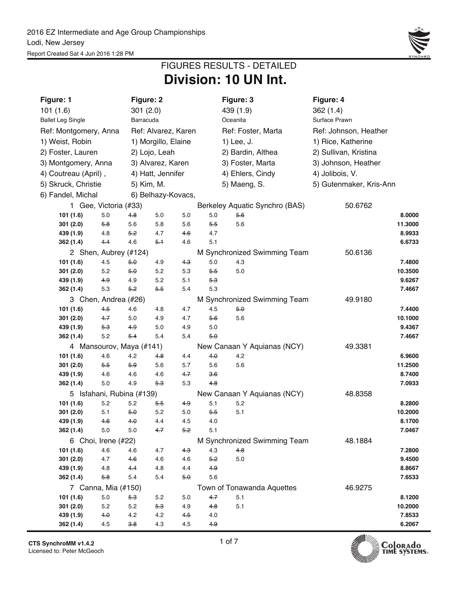

## **Division: 10 UN Int.** FIGURES RESULTS - DETAILED

| Figure: 1                |                           |            | Figure: 2           |            |            | Figure: 3          |                                | Figure: 4               |                   |
|--------------------------|---------------------------|------------|---------------------|------------|------------|--------------------|--------------------------------|-------------------------|-------------------|
| 101(1.6)                 |                           |            | 301(2.0)            |            |            | 439 (1.9)          |                                | 362(1.4)                |                   |
| <b>Ballet Leg Single</b> |                           |            | Barracuda           |            |            | Oceanita           |                                | Surface Prawn           |                   |
| Ref: Montgomery, Anna    |                           |            | Ref: Alvarez, Karen |            |            | Ref: Foster, Marta |                                | Ref: Johnson, Heather   |                   |
| 1) Weist, Robin          |                           |            | 1) Morgillo, Elaine |            |            | 1) Lee, J.         |                                | 1) Rice, Katherine      |                   |
| 2) Foster, Lauren        |                           |            | 2) Lojo, Leah       |            |            | 2) Bardin, Althea  |                                | 2) Sullivan, Kristina   |                   |
| 3) Montgomery, Anna      |                           |            | 3) Alvarez, Karen   |            |            | 3) Foster, Marta   |                                | 3) Johnson, Heather     |                   |
| 4) Coutreau (April),     |                           |            | 4) Hatt, Jennifer   |            |            | 4) Ehlers, Cindy   |                                | 4) Jolibois, V.         |                   |
| 5) Skruck, Christie      |                           |            | 5) Kim, M.          |            |            | 5) Maeng, S.       |                                | 5) Gutenmaker, Kris-Ann |                   |
| 6) Fandel, Michal        |                           |            | 6) Belhazy-Kovacs,  |            |            |                    |                                |                         |                   |
|                          | 1 Gee, Victoria (#33)     |            |                     |            |            |                    | Berkeley Aquatic Synchro (BAS) | 50.6762                 |                   |
| 101 (1.6)                | 5.0                       | 4.8        | 5.0                 | 5.0        | 5.0        | $5-6$              |                                |                         | 8.0000            |
| 301(2.0)                 | 5.8                       | 5.6        | 5.8                 | 5.6        | 5.5        | 5.6                |                                |                         | 11.3000           |
| 439 (1.9)                | 4.8                       | 5.2        | 4.7                 | 4.6        | 4.7        |                    |                                |                         | 8.9933            |
| 362 (1.4)                | 4.4                       | 4.6        | 5.1                 | 4.6        | 5.1        |                    |                                |                         | 6.6733            |
|                          | 2 Shen, Aubrey (#124)     |            |                     |            |            |                    | M Synchronized Swimming Team   | 50.6136                 |                   |
| 101 (1.6)                | 4.5                       | 5.0        | 4.9                 | 4.3        | 5.0        | 4.3                |                                |                         | 7.4800            |
| 301(2.0)                 | 5.2                       | 5.0        | 5.2                 | 5.3        | 5.5        | 5.0                |                                |                         | 10.3500           |
| 439 (1.9)                | 4.9                       | 4.9        | 5.2                 | 5.1        | 5.3        |                    |                                |                         | 9.6267            |
| 362 (1.4)                | 5.3                       | 5.2        | 5.5                 | 5.4        | 5.3        |                    |                                |                         | 7.4667            |
|                          | 3 Chen, Andrea (#26)      |            |                     |            |            |                    | M Synchronized Swimming Team   | 49.9180                 |                   |
| 101 (1.6)                | 4.5                       | 4.6        | 4.8                 | 4.7        | 4.5        | 5.0                |                                |                         | 7.4400            |
| 301(2.0)                 | 47                        | 5.0        | 4.9                 | 4.7        | 56         | 5.6                |                                |                         | 10.1000           |
| 439 (1.9)                | 5.3                       | 4.9        | 5.0                 | 4.9        | 5.0        |                    |                                |                         | 9.4367            |
| 362 (1.4)                | 5.2                       | $5-4$      | 5.4                 | 5.4        | 5.0        |                    |                                |                         | 7.4667            |
|                          | 4 Mansourov, Maya (#141)  |            |                     |            |            |                    | New Canaan Y Aquianas (NCY)    | 49.3381                 |                   |
| 101 (1.6)                | 4.6                       | 4.2        | 48                  | 4.4        | 4.0        | 4.2                |                                |                         | 6.9600            |
| 301(2.0)<br>439 (1.9)    | 5.5<br>4.6                | 5.9<br>4.6 | 5.6<br>4.6          | 5.7<br>4.7 | 5.6<br>3.6 | 5.6                |                                |                         | 11.2500<br>8.7400 |
| 362 (1.4)                | 5.0                       | 4.9        | 53                  | 5.3        | 4.8        |                    |                                |                         | 7.0933            |
|                          | 5 Isfahani, Rubina (#139) |            |                     |            |            |                    | New Canaan Y Aquianas (NCY)    | 48.8358                 |                   |
| 101 (1.6)                | 5.2                       | 5.2        | 5.5                 | 4.9        | 5.1        | 5.2                |                                |                         | 8.2800            |
| 301(2.0)                 | 5.1                       | 5.0        | 5.2                 | 5.0        | $5-5$      | 5.1                |                                |                         | 10.2000           |
| 439 (1.9)                | 4.6                       | 4.0        | 4.4                 | 4.5        | 4.0        |                    |                                |                         | 8.1700            |
| 362 (1.4)                | $5.0\,$                   | 5.0        | 4.7                 | 5.2        | 5.1        |                    |                                |                         | 7.0467            |
|                          | 6 Choi, Irene (#22)       |            |                     |            |            |                    | M Synchronized Swimming Team   | 48.1884                 |                   |
| 101 (1.6)                | 4.6                       | 4.6        | 4.7                 | 4.3        | 4.3        | $4-8$              |                                |                         | 7.2800            |
| 301 (2.0)                | 4.7                       | 4.6        | 4.6                 | 4.6        | 5.2        | $5.0\,$            |                                |                         | 9.4500            |
| 439 (1.9)                | 4.8                       | 4.4        | 4.8                 | 4.4        | 4.9        |                    |                                |                         | 8.8667            |
| 362 (1.4)                | 5.8                       | 5.4        | 5.4                 | 5.0        | 5.6        |                    |                                |                         | 7.6533            |
|                          | 7 Canna, Mia (#150)       |            |                     |            |            |                    | Town of Tonawanda Aquettes     | 46.9275                 |                   |
| 101 (1.6)                | $5.0\,$                   | 5.3        | 5.2                 | 5.0        | 4.7        | 5.1                |                                |                         | 8.1200            |
| 301 (2.0)                | 5.2                       | 5.2        | 5.3                 | 4.9        | 4.8        | 5.1                |                                |                         | 10.2000           |
| 439 (1.9)                | 4.0                       | 4.2        | 4.2                 | 4.5        | 4.0        |                    |                                |                         | 7.8533            |
| 362 (1.4)                | 4.5                       | 3.8        | 4.3                 | 4.5        | 4.9        |                    |                                |                         | 6.2067            |

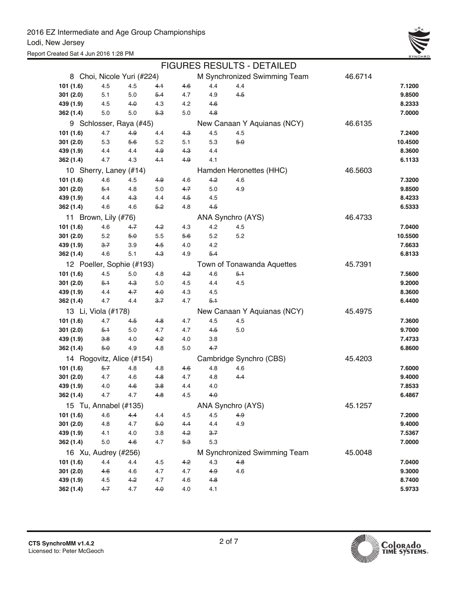

|           |                            |       |         |       |       | <b>FIGURES RESULTS - DETAILED</b> |         |         |
|-----------|----------------------------|-------|---------|-------|-------|-----------------------------------|---------|---------|
|           | 8 Choi, Nicole Yuri (#224) |       |         |       |       | M Synchronized Swimming Team      | 46.6714 |         |
| 101 (1.6) | 4.5                        | 4.5   | $4-1$   | 4.6   | 4.4   | 4.4                               |         | 7.1200  |
| 301(2.0)  | 5.1                        | 5.0   | $5-4$   | 4.7   | 4.9   | $4-5$                             |         | 9.8500  |
| 439 (1.9) | 4.5                        | 4.0   | 4.3     | 4.2   | 4.6   |                                   |         | 8.2333  |
| 362(1.4)  | 5.0                        | 5.0   | $5-3$   | 5.0   | 4.8   |                                   |         | 7.0000  |
|           | 9 Schlosser, Raya (#45)    |       |         |       |       | New Canaan Y Aquianas (NCY)       | 46.6135 |         |
| 101 (1.6) | 4.7                        | 4.9   | 4.4     | 4.3   | 4.5   | 4.5                               |         | 7.2400  |
| 301(2.0)  | 5.3                        | 5.6   | 5.2     | 5.1   | 5.3   | 5.0                               |         | 10.4500 |
| 439 (1.9) | 4.4                        | 4.4   | 4.9     | 4.3   | 4.4   |                                   |         | 8.3600  |
| 362 (1.4) | 4.7                        | 4.3   | 4.1     | $4-9$ | 4.1   |                                   |         | 6.1133  |
|           | 10 Sherry, Laney (#14)     |       |         |       |       | Hamden Heronettes (HHC)           | 46.5603 |         |
| 101 (1.6) | 4.6                        | 4.5   | 4.9     | 4.6   | 4.2   | 4.6                               |         | 7.3200  |
| 301(2.0)  | $5-1$                      | 4.8   | 5.0     | 47    | 5.0   | 4.9                               |         | 9.8500  |
| 439 (1.9) | 4.4                        | 4.3   | 4.4     | 4.5   | 4.5   |                                   |         | 8.4233  |
| 362 (1.4) | 4.6                        | 4.6   | 5.2     | 4.8   | 45    |                                   |         | 6.5333  |
|           | 11 Brown, Lily (#76)       |       |         |       |       | ANA Synchro (AYS)                 | 46.4733 |         |
| 101(1.6)  | 4.6                        | 47    | 4.2     | 4.3   | 4.2   | 4.5                               |         | 7.0400  |
| 301(2.0)  | 5.2                        | $5-0$ | 5.5     | 5.6   | 5.2   | 5.2                               |         | 10.5500 |
| 439 (1.9) | $3 - 7$                    | 3.9   | 4.5     | 4.0   | 4.2   |                                   |         | 7.6633  |
| 362 (1.4) | 4.6                        | 5.1   | $4-3$   | 4.9   | $5-4$ |                                   |         | 6.8133  |
|           | 12 Poeller, Sophie (#193)  |       |         |       |       | Town of Tonawanda Aquettes        | 45.7391 |         |
| 101 (1.6) | 4.5                        | 5.0   | 4.8     | 4.2   | 4.6   | $5-1$                             |         | 7.5600  |
| 301(2.0)  | $5-1$                      | 4.3   | 5.0     | 4.5   | 4.4   | 4.5                               |         | 9.2000  |
| 439 (1.9) | 4.4                        | 4.7   | 4.0     | 4.3   | 4.5   |                                   |         | 8.3600  |
| 362 (1.4) | 4.7                        | 4.4   | $3 - 7$ | 4.7   | $5-1$ |                                   |         | 6.4400  |
|           | 13 Li, Viola (#178)        |       |         |       |       | New Canaan Y Aquianas (NCY)       | 45.4975 |         |
| 101(1.6)  | 4.7                        | 45    | 4.8     | 4.7   | 4.5   | 4.5                               |         | 7.3600  |
| 301(2.0)  | $5 - 1$                    | 5.0   | 4.7     | 4.7   | $4-5$ | 5.0                               |         | 9.7000  |
| 439 (1.9) | 3.8                        | 4.0   | 4.2     | 4.0   | 3.8   |                                   |         | 7.4733  |
| 362 (1.4) | 5.0                        | 4.9   | 4.8     | 5.0   | 4.7   |                                   |         | 6.8600  |
|           | 14 Rogovitz, Alice (#154)  |       |         |       |       | Cambridge Synchro (CBS)           | 45.4203 |         |
| 101 (1.6) | 5.7                        | 4.8   | 4.8     | 4.6   | 4.8   | 4.6                               |         | 7.6000  |
| 301(2.0)  | 4.7                        | 4.6   | 4.8     | 4.7   | 4.8   | 44                                |         | 9.4000  |
| 439 (1.9) | 4.0                        | 4.6   | 3.8     | 4.4   | 4.0   |                                   |         | 7.8533  |
| 362 (1.4) | 4.7                        | 4.7   | 4.8     | 4.5   | 4.0   |                                   |         | 6.4867  |
|           | 15 Tu, Annabel (#135)      |       |         |       |       | ANA Synchro (AYS)                 | 45.1257 |         |
| 101 (1.6) | 4.6                        | $4-4$ | 4.4     | 4.5   | 4.5   | 4.9                               |         | 7.2000  |
| 301 (2.0) | 4.8                        | 4.7   | 5.0     | 4.4   | 4.4   | 4.9                               |         | 9.4000  |
| 439 (1.9) | 4.1                        | 4.0   | 3.8     | 4.2   | 3.7   |                                   |         | 7.5367  |
| 362 (1.4) | 5.0                        | 4.6   | 4.7     | $5-3$ | 5.3   |                                   |         | 7.0000  |
|           | 16 Xu, Audrey (#256)       |       |         |       |       | M Synchronized Swimming Team      | 45.0048 |         |
| 101 (1.6) | 4.4                        | 4.4   | 4.5     | 4.2   | 4.3   | 4.8                               |         | 7.0400  |
| 301(2.0)  | 4.6                        | 4.6   | 4.7     | 4.7   | 4.9   | 4.6                               |         | 9.3000  |
| 439 (1.9) | 4.5                        | 4.2   | 4.7     | 4.6   | 4.8   |                                   |         | 8.7400  |
| 362 (1.4) | 4.7                        | 4.7   | 4.0     | 4.0   | 4.1   |                                   |         | 5.9733  |

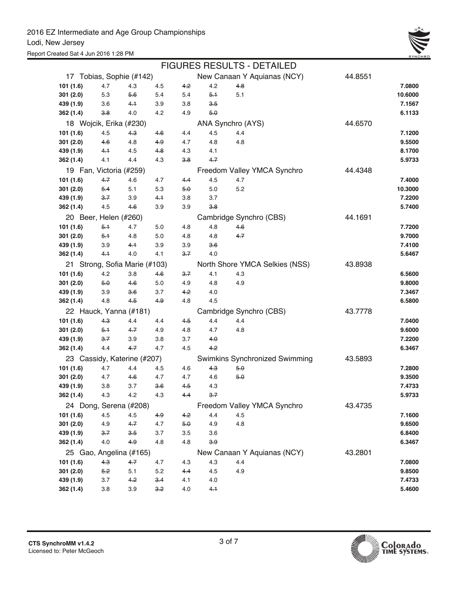

|           |                       |                               |       |       |           | <b>FIGURES RESULTS - DETAILED</b> |         |         |
|-----------|-----------------------|-------------------------------|-------|-------|-----------|-----------------------------------|---------|---------|
|           |                       | 17 Tobias, Sophie (#142)      |       |       |           | New Canaan Y Aquianas (NCY)       | 44.8551 |         |
| 101 (1.6) | 4.7                   | 4.3                           | 4.5   | 4.2   | 4.2       | 4.8                               |         | 7.0800  |
| 301(2.0)  | 5.3                   | 5.6                           | 5.4   | 5.4   | $5-1$     | 5.1                               |         | 10.6000 |
| 439 (1.9) | 3.6                   | 4.1                           | 3.9   | 3.8   | $3-5$     |                                   |         | 7.1567  |
| 362 (1.4) | 3.8                   | 4.0                           | 4.2   | 4.9   | 5.0       |                                   |         | 6.1133  |
|           |                       | 18 Wojcik, Erika (#230)       |       |       |           | ANA Synchro (AYS)                 | 44.6570 |         |
| 101(1.6)  | 4.5                   | 4.3                           | 4.6   | 4.4   | 4.5       | 4.4                               |         | 7.1200  |
| 301(2.0)  | 4.6                   | 4.8                           | 4.9   | 4.7   | 4.8       | 4.8                               |         | 9.5500  |
| 439 (1.9) | 4.1                   | 4.5                           | 4.8   | 4.3   | 4.1       |                                   |         | 8.1700  |
| 362 (1.4) | 4.1                   | 4.4                           | 4.3   | 3.8   | $4 - 7$   |                                   |         | 5.9733  |
|           |                       | 19 Fan, Victoria (#259)       |       |       |           | Freedom Valley YMCA Synchro       | 44.4348 |         |
| 101 (1.6) | $4 - 7$               | 4.6                           | 4.7   | 44    | 4.5       | 4.7                               |         | 7.4000  |
| 301(2.0)  | $5-4$                 | 5.1                           | 5.3   | 5.0   | 5.0       | 5.2                               |         | 10.3000 |
| 439 (1.9) | $3 - 7$               | 3.9                           | 4.1   | 3.8   | 3.7       |                                   |         | 7.2200  |
| 362 (1.4) | 4.5                   | 4.6                           | 3.9   | 3.9   | 3.8       |                                   |         | 5.7400  |
|           | 20 Beer, Helen (#260) |                               |       |       |           | Cambridge Synchro (CBS)           | 44.1691 |         |
| 101(1.6)  | 5.1                   | 4.7                           | 5.0   | 4.8   | 4.8       | 46                                |         | 7.7200  |
| 301(2.0)  | $5-1$                 | 4.8                           | 5.0   | 4.8   | 4.8       | 4.7                               |         | 9.7000  |
| 439 (1.9) | 3.9                   | 4.1                           | 3.9   | 3.9   | 36        |                                   |         | 7.4100  |
| 362 (1.4) | 4.1                   | 4.0                           | 4.1   | $3-7$ | 4.0       |                                   |         | 5.6467  |
|           |                       | 21 Strong, Sofia Marie (#103) |       |       |           | North Shore YMCA Selkies (NSS)    | 43.8938 |         |
| 101 (1.6) | 4.2                   | 3.8                           | 4.6   | 3.7   | 4.1       | 4.3                               |         | 6.5600  |
| 301(2.0)  | 5.0                   | 4.6                           | 5.0   | 4.9   | 4.8       | 4.9                               |         | 9.8000  |
| 439 (1.9) | 3.9                   | 3.6                           | 3.7   | 4.2   | 4.0       |                                   |         | 7.3467  |
| 362 (1.4) | 4.8                   | 4.5                           | $4-9$ | 4.8   | 4.5       |                                   |         | 6.5800  |
|           |                       | 22 Hauck, Yanna (#181)        |       |       |           | Cambridge Synchro (CBS)           | 43.7778 |         |
| 101 (1.6) | $4-3$                 | 4.4                           | 4.4   | $4-5$ | 4.4       | 4.4                               |         | 7.0400  |
| 301(2.0)  | $5+$                  | 4.7                           | 4.9   | 4.8   | 4.7       | 4.8                               |         | 9.6000  |
| 439 (1.9) | $3 - 7$               | 3.9                           | 3.8   | 3.7   | $4\theta$ |                                   |         | 7.2200  |
| 362 (1.4) | 4.4                   | 4.7                           | 4.7   | 4.5   | $4-2$     |                                   |         | 6.3467  |
|           |                       | 23 Cassidy, Katerine (#207)   |       |       |           | Swimkins Synchronized Swimming    | 43.5893 |         |
| 101 (1.6) | 4.7                   | 4.4                           | 4.5   | 4.6   | 43        | 5.0                               |         | 7.2800  |
| 301(2.0)  | 4.7                   | 4.6                           | 4.7   | 4.7   | 4.6       | 5.0                               |         | 9.3500  |
| 439 (1.9) | 3.8                   | 3.7                           | 36    | 45    | 4.3       |                                   |         | 7.4733  |
| 362 (1.4) | 4.3                   | 4.2                           | 4.3   | 4.4   | 3.7       |                                   |         | 5.9733  |
|           |                       | 24 Dong, Serena (#208)        |       |       |           | Freedom Valley YMCA Synchro       | 43.4735 |         |
| 101 (1.6) | 4.5                   | 4.5                           | 4.9   | 4.2   | 4.4       | 4.5                               |         | 7.1600  |
| 301 (2.0) | 4.9                   | 4.7                           | 4.7   | 5.0   | 4.9       | 4.8                               |         | 9.6500  |
| 439 (1.9) | $3 - 7$               | 3.5                           | 3.7   | 3.5   | 3.6       |                                   |         | 6.8400  |
| 362 (1.4) | 4.0                   | 4.9                           | 4.8   | 4.8   | 3.9       |                                   |         | 6.3467  |
|           |                       | 25 Gao, Angelina (#165)       |       |       |           | New Canaan Y Aquianas (NCY)       | 43.2801 |         |
| 101 (1.6) | $4-3$                 | $4 - 7$                       | 4.7   | 4.3   | 4.3       | 4.4                               |         | 7.0800  |
| 301(2.0)  | 5.2                   | 5.1                           | 5.2   | 4.4   | 4.5       | 4.9                               |         | 9.8500  |
| 439 (1.9) | 3.7                   | 4.2                           | 3.4   | 4.1   | 4.0       |                                   |         | 7.4733  |
| 362 (1.4) | $3.8\,$               | 3.9                           | 3.2   | 4.0   | 4.1       |                                   |         | 5.4600  |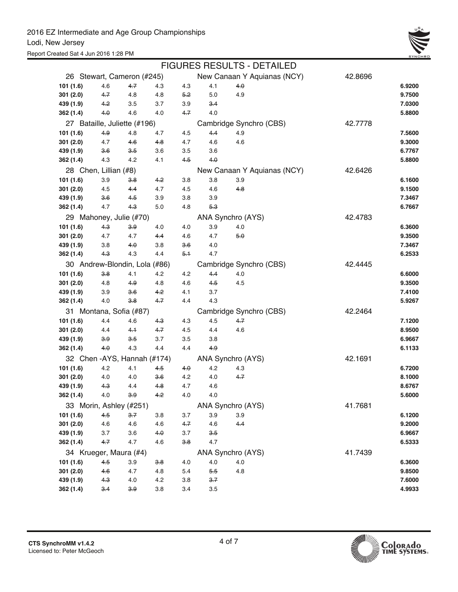

|                               |                |              |                |            |            | <b>FIGURES RESULTS - DETAILED</b> |         |                  |
|-------------------------------|----------------|--------------|----------------|------------|------------|-----------------------------------|---------|------------------|
| 26 Stewart, Cameron (#245)    |                |              |                |            |            | New Canaan Y Aquianas (NCY)       | 42.8696 |                  |
| 101 (1.6)                     | 4.6            | 4.7          | 4.3            | 4.3        | 4.1        | 4.0                               |         | 6.9200           |
| 301 (2.0)                     | 4.7            | 4.8          | 4.8            | 5.2        | 5.0        | 4.9                               |         | 9.7500           |
| 439 (1.9)                     | 4.2            | 3.5          | 3.7            | 3.9        | 3.4        |                                   |         | 7.0300           |
| 362 (1.4)                     | 4.0            | 4.6          | 4.0            | $4 - 7$    | 4.0        |                                   |         | 5.8800           |
| 27 Bataille, Juliette (#196)  |                |              |                |            |            | Cambridge Synchro (CBS)           | 42.7778 |                  |
| 101 (1.6)                     | 4.9            | 4.8          | 4.7            | 4.5        | 4.4        | 4.9                               |         | 7.5600           |
| 301 (2.0)                     | 4.7            | 4.6          | 4.8            | 4.7        | 4.6        | 4.6                               |         | 9.3000           |
| 439 (1.9)                     | 3.6            | 3.5          | 3.6            | 3.5        | 3.6        |                                   |         | 6.7767           |
| 362 (1.4)                     | 4.3            | 4.2          | 4.1            | 4.5        | 4.0        |                                   |         | 5.8800           |
| 28 Chen, Lillian (#8)         |                |              |                |            |            | New Canaan Y Aquianas (NCY)       | 42.6426 |                  |
| 101 (1.6)                     | 3.9            | 3.8          | 4.2            | 3.8        | 3.8        | 3.9                               |         | 6.1600           |
| 301(2.0)                      | 4.5            | 4.4          | 4.7            | 4.5        | 4.6        | 4.8                               |         | 9.1500           |
| 439 (1.9)                     | 3.6            | 4.5          | 3.9            | 3.8        | 3.9        |                                   |         | 7.3467           |
| 362 (1.4)                     | 4.7            | $4-3$        | 5.0            | 4.8        | 5.3        |                                   |         | 6.7667           |
| 29 Mahoney, Julie (#70)       |                |              |                |            |            | ANA Synchro (AYS)                 | 42.4783 |                  |
| 101 (1.6)                     | $4-3$          | 3.9          | 4.0            | 4.0        | 3.9        | 4.0                               |         | 6.3600           |
| 301(2.0)                      | 4.7            | 4.7          | 4.4            | 4.6        | 4.7        | 5.0                               |         | 9.3500           |
| 439 (1.9)                     | 3.8            | 4.0          | 3.8            | 3.6        | 4.0        |                                   |         | 7.3467           |
| 362 (1.4)                     | $4-3$          | 4.3          | 4.4            | 5.1        | 4.7        |                                   |         | 6.2533           |
| 30 Andrew-Blondin, Lola (#86) |                |              |                |            |            | Cambridge Synchro (CBS)           | 42.4445 |                  |
| 101(1.6)                      | 3.8            | 4.1          | 4.2            | 4.2        | 4.4        | 4.0                               |         | 6.6000           |
| 301(2.0)                      | 4.8            | 4.9          | 4.8            | 4.6        | 4.5        | 4.5                               |         | 9.3500           |
| 439 (1.9)<br>362 (1.4)        | 3.9<br>4.0     | 3.6<br>3.8   | 4.2<br>$4 - 7$ | 4.1<br>4.4 | 3.7<br>4.3 |                                   |         | 7.4100<br>5.9267 |
|                               |                |              |                |            |            |                                   |         |                  |
| 31 Montana, Sofia (#87)       |                |              |                |            |            | Cambridge Synchro (CBS)           | 42.2464 |                  |
| 101 (1.6)                     | 4.4            | 4.6          | 4.3            | 4.3        | 4.5        | 4.7                               |         | 7.1200           |
| 301(2.0)<br>439 (1.9)         | 4.4<br>3.9     | 4.1<br>$3-5$ | $4 - 7$<br>3.7 | 4.5<br>3.5 | 4.4<br>3.8 | 4.6                               |         | 8.9500<br>6.9667 |
| 362 (1.4)                     | 4.0            | 4.3          | 4.4            | 4.4        | 4.9        |                                   |         | 6.1133           |
| 32 Chen - AYS, Hannah (#174)  |                |              |                |            |            | ANA Synchro (AYS)                 | 42.1691 |                  |
| 101 (1.6)                     | 4.2            | 4.1          | 4.5            | 4.0        | 4.2        | 4.3                               |         | 6.7200           |
| 301(2.0)                      | 4.0            | 4.0          | <del>3.6</del> | 4.2        | 4.0        | 4.7                               |         | 8.1000           |
| 439 (1.9)                     | <del>4.3</del> | 4.4          | 4.8            | 4.7        | 4.6        |                                   |         | 8.6767           |
| 362 (1.4)                     | $4.0\,$        | 3.9          | 4.2            | 4.0        | 4.0        |                                   |         | 5.6000           |
| 33 Morin, Ashley (#251)       |                |              |                |            |            | ANA Synchro (AYS)                 | 41.7681 |                  |
| 101 (1.6)                     | 4.5            | $3 - 7$      | 3.8            | 3.7        | 3.9        | 3.9                               |         | 6.1200           |
| 301(2.0)                      | 4.6            | 4.6          | 4.6            | 4.7        | 4.6        | $4-4$                             |         | 9.2000           |
| 439 (1.9)                     | 3.7            | 3.6          | 4.0            | 3.7        | 3.5        |                                   |         | 6.9667           |
| 362 (1.4)                     | 4.7            | 4.7          | 4.6            | 3.8        | 4.7        |                                   |         | 6.5333           |
| 34 Krueger, Maura (#4)        |                |              |                |            |            | ANA Synchro (AYS)                 | 41.7439 |                  |
| 101 (1.6)                     | 4.5            | 3.9          | 3.8            | 4.0        | 4.0        | 4.0                               |         | 6.3600           |
| 301 (2.0)                     | 4.6            | 4.7          | 4.8            | 5.4        | 5.5        | 4.8                               |         | 9.8500           |
| 439 (1.9)                     | 4.3            | 4.0          | 4.2            | 3.8        | 3.7        |                                   |         | 7.6000           |
| 362 (1.4)                     | 3.4            | 3.9          | 3.8            | 3.4        | 3.5        |                                   |         | 4.9933           |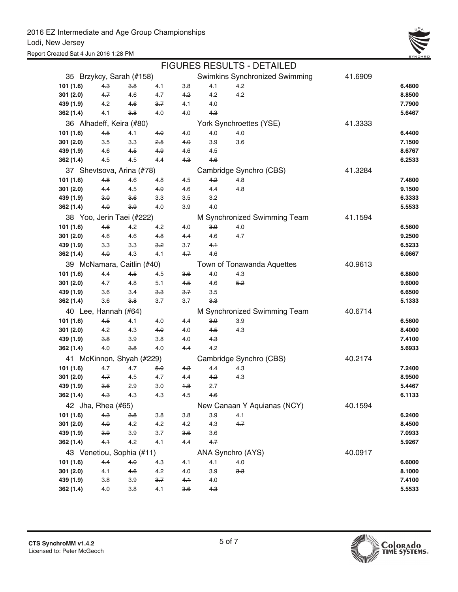

|                            |                    |                           |         |         |                | <b>FIGURES RESULTS - DETAILED</b> |         |        |
|----------------------------|--------------------|---------------------------|---------|---------|----------------|-----------------------------------|---------|--------|
|                            |                    | 35 Brzykcy, Sarah (#158)  |         |         |                | Swimkins Synchronized Swimming    | 41.6909 |        |
| 101(1.6)                   | $4-3$              | 3.8                       | 4.1     | 3.8     | 4.1            | 4.2                               |         | 6.4800 |
| 301(2.0)                   | 4.7                | 4.6                       | 4.7     | 4.2     | 4.2            | 4.2                               |         | 8.8500 |
| 439 (1.9)                  | 4.2                | 4.6                       | $3 - 7$ | 4.1     | 4.0            |                                   |         | 7.7900 |
| 362 (1.4)                  | 4.1                | 3.8                       | 4.0     | 4.0     | $4-3$          |                                   |         | 5.6467 |
|                            |                    | 36 Alhadeff, Keira (#80)  |         |         |                | York Synchroettes (YSE)           | 41.3333 |        |
| 101(1.6)                   | 4.5                | 4.1                       | 4.0     | 4.0     | 4.0            | 4.0                               |         | 6.4400 |
| 301(2.0)                   | 3.5                | 3.3                       | $2-5$   | 40      | 3.9            | 3.6                               |         | 7.1500 |
| 439 (1.9)                  | 4.6                | 4.5                       | 4.9     | 4.6     | 4.5            |                                   |         | 8.6767 |
| 362 (1.4)                  | 4.5                | 4.5                       | 4.4     | $4-3$   | 4.6            |                                   |         | 6.2533 |
| 37 Shevtsova, Arina (#78)  |                    |                           |         |         |                | Cambridge Synchro (CBS)           | 41.3284 |        |
| 101(1.6)                   | $4-8$              | 4.6                       | 4.8     | 4.5     | 4.2            | 4.8                               |         | 7.4800 |
| 301(2.0)                   | 4.4                | 4.5                       | 4.9     | 4.6     | 4.4            | 4.8                               |         | 9.1500 |
| 439 (1.9)                  | 3.0                | 3.6                       | 3.3     | 3.5     | 3.2            |                                   |         | 6.3333 |
| 362 (1.4)                  | 4.0                | 39                        | 4.0     | 3.9     | 4.0            |                                   |         | 5.5533 |
|                            |                    | 38 Yoo, Jerin Taei (#222) |         |         |                | M Synchronized Swimming Team      | 41.1594 |        |
| 101(1.6)                   | 46                 | 4.2                       | 4.2     | 4.0     | 3.9            | 4.0                               |         | 6.5600 |
| 301(2.0)                   | 4.6                | 4.6                       | 4.8     | 4.4     | 4.6            | 4.7                               |         | 9.2500 |
| 439 (1.9)                  | 3.3                | 3.3                       | 3.2     | 3.7     | 4.1            |                                   |         | 6.5233 |
| 362(1.4)                   | 4.0                | 4.3                       | 4.1     | 4.7     | 4.6            |                                   |         | 6.0667 |
| 39 McNamara, Caitlin (#40) |                    |                           |         |         |                | Town of Tonawanda Aquettes        | 40.9613 |        |
| 101(1.6)                   | 4.4                | 4.5                       | 4.5     | 36      | 4.0            | 4.3                               |         | 6.8800 |
| 301(2.0)                   | 4.7                | 4.8                       | 5.1     | $4-5$   | 4.6            | 5.2                               |         | 9.6000 |
| 439 (1.9)                  | 3.6                | 3.4                       | 3.3     | $3 - 7$ | 3.5            |                                   |         | 6.6500 |
| 362 (1.4)                  | 3.6                | 3.8                       | 3.7     | 3.7     | <del>3 3</del> |                                   |         | 5.1333 |
| 40 Lee, Hannah (#64)       |                    |                           |         |         |                | M Synchronized Swimming Team      | 40.6714 |        |
| 101(1.6)                   | 4.5                | 4.1                       | 4.0     | 4.4     | 3.9            | 3.9                               |         | 6.5600 |
| 301(2.0)                   | 4.2                | 4.3                       | 4.0     | 4.0     | $4-5$          | 4.3                               |         | 8.4000 |
| 439 (1.9)                  | 3.8                | 3.9                       | 3.8     | 4.0     | 4.3            |                                   |         | 7.4100 |
| 362 (1.4)                  | 4.0                | <del>38</del>             | 4.0     | 44      | 4.2            |                                   |         | 5.6933 |
|                            |                    | 41 McKinnon, Shyah (#229) |         |         |                | Cambridge Synchro (CBS)           | 40.2174 |        |
| 101(1.6)                   | 4.7                | 4.7                       | 5.0     | 4.3     | 4.4            | 4.3                               |         | 7.2400 |
| 301 (2.0)                  | 4.7                | 4.5                       | 4.7     | 4.4     | 4.2            | 4.3                               |         | 8.9500 |
| 439 (1.9)                  | <del>3.6</del>     | 2.9                       | 3.0     | 18      | 2.7            |                                   |         | 5.4467 |
| 362 (1.4)                  | 4.3                | 4.3                       | 4.3     | 4.5     | 4.6            |                                   |         | 6.1133 |
|                            | 42 Jha, Rhea (#65) |                           |         |         |                | New Canaan Y Aquianas (NCY)       | 40.1594 |        |
| 101 (1.6)                  | $4-3$              | 3.8                       | 3.8     | 3.8     | 3.9            | 4.1                               |         | 6.2400 |
| 301 (2.0)                  | 4.0                | 4.2                       | 4.2     | 4.2     | 4.3            | 4.7                               |         | 8.4500 |
| 439 (1.9)                  | 3.9                | 3.9                       | 3.7     | 3.6     | 3.6            |                                   |         | 7.0933 |
| 362 (1.4)                  | 4.1                | 4.2                       | 4.1     | 4.4     | $4 - 7$        |                                   |         | 5.9267 |
|                            |                    | 43 Venetiou, Sophia (#11) |         |         |                | ANA Synchro (AYS)                 | 40.0917 |        |
| 101 (1.6)                  | 4.4                | 4.0                       | 4.3     | 4.1     | 4.1            | 4.0                               |         | 6.6000 |
| 301 (2.0)                  | 4.1                | 4.6                       | 4.2     | 4.0     | 3.9            | 3.3                               |         | 8.1000 |
| 439 (1.9)                  | 3.8                | 3.9                       | 3.7     | 4.1     | 4.0            |                                   |         | 7.4100 |
| 362 (1.4)                  | 4.0                | 3.8                       | 4.1     | 3.6     | 4.3            |                                   |         | 5.5533 |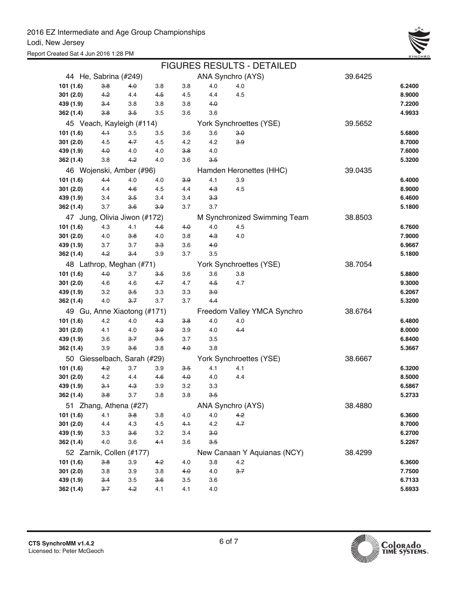

|                          |     |                              |       |       |       | <b>FIGURES RESULTS - DETAILED</b> |         |        |
|--------------------------|-----|------------------------------|-------|-------|-------|-----------------------------------|---------|--------|
| 44 He, Sabrina (#249)    |     |                              |       |       |       | ANA Synchro (AYS)                 | 39.6425 |        |
| 101 (1.6)                | 3.8 | 4.0                          | 3.8   | 3.8   | 4.0   | 4.0                               |         | 6.2400 |
| 301 (2.0)                | 4.2 | 4.4                          | 4.5   | 4.5   | 4.4   | 4.5                               |         | 8.9000 |
| 439 (1.9)                | 3.4 | 3.8                          | 3.8   | 3.8   | 4.0   |                                   |         | 7.2200 |
| 362 (1.4)                | 3.8 | $3-5$                        | 3.5   | 3.6   | 3.6   |                                   |         | 4.9933 |
|                          |     | 45 Veach, Kayleigh (#114)    |       |       |       | York Synchroettes (YSE)           | 39.5652 |        |
| 101 (1.6)                | 4.1 | 3.5                          | 3.5   | 3.6   | 3.6   | 3.0                               |         | 5.6800 |
| 301(2.0)                 | 4.5 | 4.7                          | 4.5   | 4.2   | 4.2   | 3.9                               |         | 8.7000 |
| 439 (1.9)                | 4.0 | 4.0                          | 4.0   | 3.8   | 4.0   |                                   |         | 7.6000 |
| 362 (1.4)                | 3.8 | 4.2                          | 4.0   | 3.6   | $3-5$ |                                   |         | 5.3200 |
|                          |     | 46 Wojenski, Amber (#96)     |       |       |       | Hamden Heronettes (HHC)           | 39.0435 |        |
| 101 (1.6)                | 4.4 | 4.0                          | 4.0   | 3.9   | 4.1   | 3.9                               |         | 6.4000 |
| 301 (2.0)                | 4.4 | 4.6                          | 4.5   | 4.4   | $4-3$ | 4.5                               |         | 8.9000 |
| 439 (1.9)                | 3.4 | 3.5                          | 3.4   | 3.4   | 3.3   |                                   |         | 6.4600 |
| 362 (1.4)                | 3.7 | $3-6$                        | 3.9   | 3.7   | 3.7   |                                   |         | 5.1800 |
|                          |     | 47 Jung, Olivia Jiwon (#172) |       |       |       | M Synchronized Swimming Team      | 38.8503 |        |
| 101 (1.6)                | 4.3 | 4.1                          | 46    | 4.0   | 4.0   | 4.5                               |         | 6.7600 |
| 301 (2.0)                | 4.0 | 3.8                          | 4.0   | 3.8   | $4-3$ | 4.0                               |         | 7.9000 |
| 439 (1.9)                | 3.7 | 3.7                          | 3.3   | 3.6   | 4.0   |                                   |         | 6.9667 |
| 362 (1.4)                | 4.2 | $3-4$                        | 3.9   | 3.7   | 3.5   |                                   |         | 5.1800 |
| 48 Lathrop, Meghan (#71) |     |                              |       |       |       | York Synchroettes (YSE)           | 38.7054 |        |
| 101 (1.6)                | 4.0 | 3.7                          | 3.5   | 3.6   | 3.6   | 3.8                               |         | 5.8800 |
| 301 (2.0)                | 4.6 | 4.6                          | 4.7   | 4.7   | $4-5$ | 4.7                               |         | 9.3000 |
| 439 (1.9)                | 3.2 | 3.5                          | 3.3   | 3.3   | 3.0   |                                   |         | 6.2067 |
| 362 (1.4)                | 4.0 | 3.7                          | 3.7   | 3.7   | $4-4$ |                                   |         | 5.3200 |
|                          |     | 49 Gu, Anne Xiaotong (#171)  |       |       |       | Freedom Valley YMCA Synchro       | 38.6764 |        |
| 101 (1.6)                | 4.2 | 4.0                          | $4-3$ | 3.8   | 4.0   | 4.0                               |         | 6.4800 |
| 301(2.0)                 | 4.1 | 4.0                          | 3.9   | 3.9   | 4.0   | $4-4$                             |         | 8.0000 |
| 439 (1.9)                | 3.6 | $3 - 7$                      | $3-5$ | 3.7   | 3.5   |                                   |         | 6.8400 |
| 362 (1.4)                | 3.9 | 3.6                          | 3.8   | 4.0   | 3.8   |                                   |         | 5.3667 |
|                          |     | 50 Giesselbach, Sarah (#29)  |       |       |       | York Synchroettes (YSE)           | 38.6667 |        |
| 101 (1.6)                | 4.2 | 3.7                          | 3.9   | 3.5   | 4.1   | 4.1                               |         | 6.3200 |
| 301(2.0)                 | 4.2 | 4.4                          | 4.6   | 4.0   | 4.0   | 4.4                               |         | 8.5000 |
| 439 (1.9)                | 3.1 | <del>4.3</del>               | 3.9   | 3.2   | 3.3   |                                   |         | 6.5867 |
| 362 (1.4)                | 3.8 | 3.7                          | 3.8   | 3.8   | 3.5   |                                   |         | 5.2733 |
|                          |     | 51 Zhang, Athena (#27)       |       |       |       | ANA Synchro (AYS)                 | 38.4880 |        |
| 101 (1.6)                | 4.1 | 3.8                          | 3.8   | 4.0   | 4.0   | 4.2                               |         | 6.3600 |
| 301(2.0)                 | 4.4 | 4.3                          | 4.5   | $4-1$ | 4.2   | 4.7                               |         | 8.7000 |
| 439 (1.9)                | 3.3 | 3.6                          | 3.2   | 3.4   | 3.0   |                                   |         | 6.2700 |
| 362 (1.4)                | 4.0 | 3.6                          | 4.1   | 3.6   | 3.5   |                                   |         | 5.2267 |
|                          |     | 52 Zarnik, Collen (#177)     |       |       |       | New Canaan Y Aquianas (NCY)       | 38.4299 |        |
| 101 (1.6)                | 3.8 | 3.9                          | 4.2   | 4.0   | 3.8   | 4.2                               |         | 6.3600 |
| 301(2.0)                 | 3.8 | 3.9                          | 3.8   | 4.0   | 4.0   | 3.7                               |         | 7.7500 |
| 439 (1.9)                | 3.4 | 3.5                          | 3.6   | 3.5   | 3.6   |                                   |         | 6.7133 |
| 362 (1.4)                | 3.7 | 4.2                          | 4.1   | 4.1   | 4.0   |                                   |         | 5.6933 |

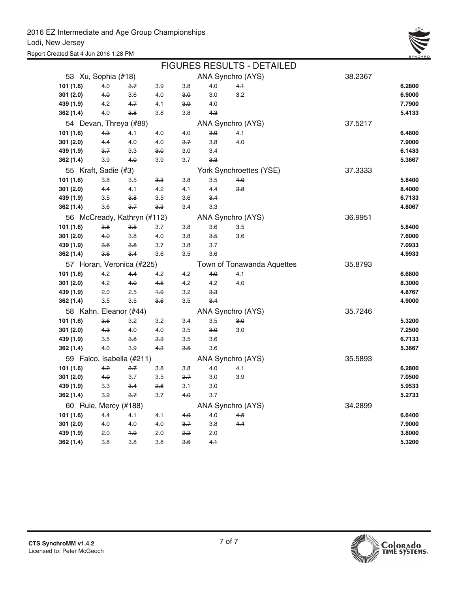Report Created Sat 4 Jun 2016 1:28 PM



|                             |           |                           |                |       |                | <b>FIGURES RESULTS - DETAILED</b> |         |        |
|-----------------------------|-----------|---------------------------|----------------|-------|----------------|-----------------------------------|---------|--------|
| 53 Xu, Sophia (#18)         |           |                           |                |       |                | ANA Synchro (AYS)                 | 38.2367 |        |
| 101 (1.6)                   | 4.0       | $3 - 7$                   | 3.9            | 3.8   | 4.0            | $4 +$                             |         | 6.2800 |
| 301 (2.0)                   | 4.0       | 3.6                       | 4.0            | $3-0$ | 3.0            | 3.2                               |         | 6.9000 |
| 439 (1.9)                   | 4.2       | $4 - 7$                   | 4.1            | 3.9   | 4.0            |                                   |         | 7.7900 |
| 362 (1.4)                   | 4.0       | 3.8                       | 3.8            | 3.8   | $4-3$          |                                   |         | 5.4133 |
| 54 Devan, Threya (#89)      |           |                           |                |       |                | ANA Synchro (AYS)                 | 37.5217 |        |
| 101(1.6)                    | $4-3$     | 4.1                       | 4.0            | 4.0   | 3.9            | 4.1                               |         | 6.4800 |
| 301 (2.0)                   | 4.4       | 4.0                       | 4.0            | 3.7   | 3.8            | 4.0                               |         | 7.9000 |
| 439 (1.9)                   | 3.7       | 3.3                       | 3.0            | 3.0   | 3.4            |                                   |         | 6.1433 |
| 362 (1.4)                   | 3.9       | 4.0                       | 3.9            | 3.7   | $3-3$          |                                   |         | 5.3667 |
| 55 Kraft, Sadie (#3)        |           |                           |                |       |                | York Synchroettes (YSE)           | 37.3333 |        |
| 101 (1.6)                   | 3.8       | 3.5                       | 3.3            | 3.8   | 3.5            | 4.0                               |         | 5.8400 |
| 301(2.0)                    | 4.4       | 4.1                       | 4.2            | 4.1   | 4.4            | 3.8                               |         | 8.4000 |
| 439 (1.9)                   | 3.5       | 3.8                       | 3.5            | 3.6   | $3-4$          |                                   |         | 6.7133 |
| 362 (1.4)                   | 3.6       | $3 - 7$                   | <del>3.3</del> | 3.4   | 3.3            |                                   |         | 4.8067 |
| 56 McCready, Kathryn (#112) |           |                           |                |       |                | ANA Synchro (AYS)                 | 36.9951 |        |
| 101 (1.6)                   | 3.8       | 3.5                       | 3.7            | 3.8   | 3.6            | 3.5                               |         | 5.8400 |
| 301 (2.0)                   | $4\theta$ | 3.8                       | 4.0            | 3.8   | 3.5            | 3.6                               |         | 7.6000 |
| 439 (1.9)                   | 3.6       | 3.8                       | 3.7            | 3.8   | 3.7            |                                   |         | 7.0933 |
| 362 (1.4)                   | 36        | $3-4$                     | 3.6            | 3.5   | 3.6            |                                   |         | 4.9933 |
|                             |           | 57 Horan, Veronica (#225) |                |       |                | Town of Tonawanda Aquettes        | 35.8793 |        |
| 101(1.6)                    | 4.2       | $4-4$                     | 4.2            | 4.2   | 4.0            | 4.1                               |         | 6.6800 |
| 301(2.0)                    | 4.2       | 4.0                       | 4.5            | 4.2   | 4.2            | 4.0                               |         | 8.3000 |
| 439 (1.9)                   | 2.0       | 2.5                       | $+9$           | 3.2   | <del>3.3</del> |                                   |         | 4.8767 |
| 362 (1.4)                   | 3.5       | 3.5                       | 3.6            | 3.5   | $3-4$          |                                   |         | 4.9000 |
| 58 Kahn, Eleanor (#44)      |           |                           |                |       |                | ANA Synchro (AYS)                 | 35.7246 |        |
| 101 (1.6)                   | 3.6       | 3.2                       | 3.2            | 3.4   | 3.5            | 3.0                               |         | 5.3200 |
| 301(2.0)                    | 4.3       | 4.0                       | 4.0            | 3.5   | 3.0            | 3.0                               |         | 7.2500 |
| 439 (1.9)                   | 3.5       | 3.8                       | 3.3            | 3.5   | 3.6            |                                   |         | 6.7133 |
| 362 (1.4)                   | 4.0       | 3.9                       | $4-3$          | 3.5   | 3.6            |                                   |         | 5.3667 |
| 59 Falco, Isabella (#211)   |           |                           |                |       |                | ANA Synchro (AYS)                 | 35.5893 |        |
| 101 (1.6)                   | $4-2$     | 3.7                       | 3.8            | 3.8   | 4.0            | 4.1                               |         | 6.2800 |
| 301 (2.0)                   | 4.0       | 3.7                       | 3.5            | 2.7   | 3.0            | 3.9                               |         | 7.0500 |
| 439 (1.9)                   | 3.3       | 3.4                       | 2.8            | 3.1   | 3.0            |                                   |         | 5.9533 |
| 362 (1.4)                   | 3.9       | $3 - 7$                   | 3.7            | 4.0   | 3.7            |                                   |         | 5.2733 |
| 60 Rule, Mercy (#188)       |           |                           |                |       |                | ANA Synchro (AYS)                 | 34.2899 |        |
| 101 (1.6)                   | 4.4       | 4.1                       | 4.1            | 4.0   | 4.0            | 4.5                               |         | 6.6400 |
| 301(2.0)                    | 4.0       | 4.0                       | 4.0            | 3.7   | 3.8            | $4-4$                             |         | 7.9000 |
| 439 (1.9)                   | 2.0       | $+9$                      | 2.0            | 2.2   | 2.0            |                                   |         | 3.8000 |
| 362 (1.4)                   | 3.8       | 3.8                       | 3.8            | 3.6   | $4+$           |                                   |         | 5.3200 |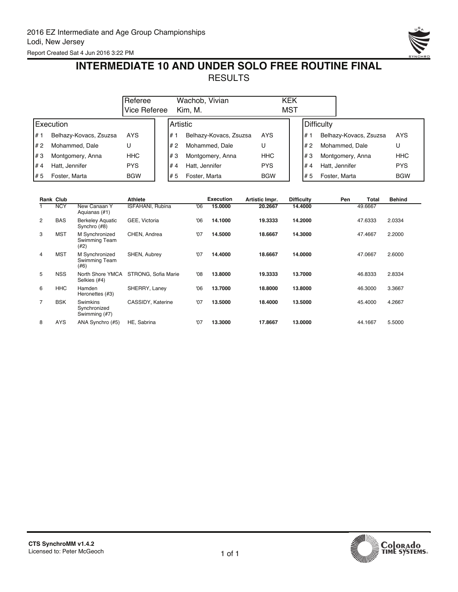

## **INTERMEDIATE 10 AND UNDER SOLO FREE ROUTINE FINAL** RESULTS

|      |                        | Referee      |                 | Wachob, Vivian         |            | <b>KEK</b> |     |                        |            |
|------|------------------------|--------------|-----------------|------------------------|------------|------------|-----|------------------------|------------|
|      |                        | Vice Referee |                 | Kim. M.                |            | MST        |     |                        |            |
|      | Execution              |              | <b>Artistic</b> |                        |            |            |     | Difficulty             |            |
| l# 1 | Belhazy-Kovacs, Zsuzsa | <b>AYS</b>   | #               | Belhazy-Kovacs, Zsuzsa | <b>AYS</b> |            | #   | Belhazy-Kovacs, Zsuzsa | <b>AYS</b> |
| I# 2 | Mohammed, Dale         | U            | l# 2            | Mohammed, Dale         | U          |            | # 2 | Mohammed, Dale         | U          |
| l#3  | Montgomery, Anna       | HHC.         | l#3             | Montgomery, Anna       | <b>HHC</b> |            | #3  | Montgomery, Anna       | <b>HHC</b> |
| l#4  | Hatt, Jennifer         | <b>PYS</b>   | #4              | Hatt. Jennifer         | <b>PYS</b> |            | #4  | Hatt, Jennifer         | <b>PYS</b> |
| l# 5 | Foster, Marta          | <b>BGW</b>   | l#5             | Foster, Marta          | <b>BGW</b> |            | l#5 | Foster, Marta          | <b>BGW</b> |

|   | <b>Rank Club</b> |                                                  | <b>Athlete</b>          |     | <b>Execution</b> | Artistic Impr. | <b>Difficulty</b> | Pen | Total   | <b>Behind</b> |
|---|------------------|--------------------------------------------------|-------------------------|-----|------------------|----------------|-------------------|-----|---------|---------------|
|   | <b>NCY</b>       | New Canaan Y<br>Aquianas (#1)                    | <b>ISFAHANI, Rubina</b> | 06' | 15,0000          | 20.2667        | 14.4000           |     | 49.6667 |               |
| 2 | <b>BAS</b>       | <b>Berkeley Aquatic</b><br>Synchro (#8)          | GEE, Victoria           | 06' | 14.1000          | 19.3333        | 14.2000           |     | 47.6333 | 2.0334        |
| 3 | <b>MST</b>       | M Synchronized<br>Swimming Team<br>(42)          | CHEN, Andrea            | '07 | 14.5000          | 18.6667        | 14.3000           |     | 47.4667 | 2.2000        |
| 4 | <b>MST</b>       | M Synchronized<br>Swimming Team<br>(#6)          | SHEN, Aubrey            | '07 | 14.4000          | 18.6667        | 14.0000           |     | 47.0667 | 2.6000        |
| 5 | <b>NSS</b>       | North Shore YMCA<br>Selkies (#4)                 | STRONG, Sofia Marie     | 08' | 13,8000          | 19.3333        | 13.7000           |     | 46.8333 | 2.8334        |
| 6 | <b>HHC</b>       | Hamden<br>Heronettes (#3)                        | SHERRY, Laney           | 06' | 13.7000          | 18,8000        | 13,8000           |     | 46.3000 | 3.3667        |
| 7 | <b>BSK</b>       | <b>Swimkins</b><br>Synchronized<br>Swimming (#7) | CASSIDY, Katerine       | '07 | 13.5000          | 18,4000        | 13.5000           |     | 45.4000 | 4.2667        |
| 8 | <b>AYS</b>       | ANA Synchro (#5)                                 | HE, Sabrina             | '07 | 13.3000          | 17.8667        | 13.0000           |     | 44.1667 | 5.5000        |

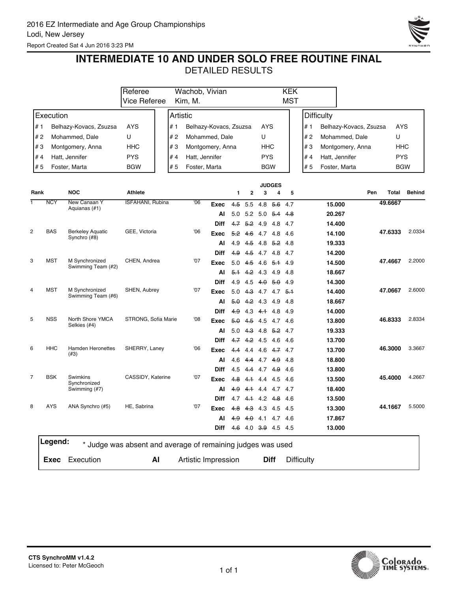Report Created Sat 4 Jun 2016 3:23 PM



### **INTERMEDIATE 10 AND UNDER SOLO FREE ROUTINE FINAL**

|      |            |                                     | Referee                                                     | Wachob, Vivian      |                        |            |                     |                |                    | <b>KEK</b> |                   |                   |                        |            |               |
|------|------------|-------------------------------------|-------------------------------------------------------------|---------------------|------------------------|------------|---------------------|----------------|--------------------|------------|-------------------|-------------------|------------------------|------------|---------------|
|      |            |                                     | Vice Referee                                                | Kim, M.             |                        |            |                     |                |                    | <b>MST</b> |                   |                   |                        |            |               |
|      | Execution  |                                     |                                                             | Artistic            |                        |            |                     |                |                    |            |                   | <b>Difficulty</b> |                        |            |               |
| #1   |            | Belhazy-Kovacs, Zsuzsa              | <b>AYS</b><br># 1                                           |                     | Belhazy-Kovacs, Zsuzsa |            |                     | AYS            |                    |            | # 1               |                   | Belhazy-Kovacs, Zsuzsa | AYS        |               |
| # 2  |            | Mohammed, Dale                      | U<br># 2                                                    |                     | Mohammed, Dale         |            |                     | U              |                    |            | # 2               | Mohammed, Dale    |                        | U          |               |
| #3   |            | Montgomery, Anna                    | #3<br>HHC                                                   |                     | Montgomery, Anna       |            |                     | HHC            |                    |            | #3                |                   | Montgomery, Anna       | <b>HHC</b> |               |
| #4   |            | Hatt, Jennifer                      | <b>PYS</b><br># 4                                           | Hatt, Jennifer      |                        |            |                     | <b>PYS</b>     |                    |            | #4                | Hatt, Jennifer    |                        | <b>PYS</b> |               |
| #5   |            | Foster, Marta                       | <b>BGW</b><br># 5                                           | Foster, Marta       |                        |            |                     | <b>BGW</b>     |                    |            | # 5               | Foster, Marta     |                        |            | <b>BGW</b>    |
|      |            |                                     |                                                             |                     |                        |            |                     |                |                    |            |                   |                   |                        |            |               |
| Rank |            | <b>NOC</b>                          | <b>Athlete</b>                                              |                     |                        | 1          | $\mathbf{2}$        | 3              | <b>JUDGES</b><br>4 | 5          |                   |                   | Pen                    | Total      | <b>Behind</b> |
| 1    | <b>NCY</b> | New Canaan Y                        | ISFAHANI, Rubina                                            | 06                  |                        |            |                     |                |                    |            |                   |                   |                        | 49.6667    |               |
|      |            | Aquianas (#1)                       |                                                             |                     | Exec                   | 4.5        | 5.5                 | 4.8            | 5.6                | 4.7        |                   | 15.000            |                        |            |               |
|      |            |                                     |                                                             |                     | Al                     | 5.0        | 5.2                 | 5.0            | 5.4                | 4.8        |                   | 20.267            |                        |            |               |
| 2    | <b>BAS</b> | <b>Berkeley Aquatic</b>             | GEE, Victoria                                               | '06                 | <b>Diff</b>            | 4.7        | <del>5.2</del>      | 4.9            | 4.8                | 4.7        |                   | 14.400            |                        | 47.6333    | 2.0334        |
|      |            | Synchro (#8)                        |                                                             |                     | Exec                   | 5.2<br>4.9 | 4.6<br>$4-5$        | 4.7 4.8<br>4.8 | <del>5.2</del> 4.8 | 4.6        |                   | 14.100<br>19.333  |                        |            |               |
|      |            |                                     |                                                             |                     | Al<br><b>Diff</b>      | 4.9        | $4-5$               | 4.7            | 4.8                | 4.7        |                   | 14.200            |                        |            |               |
| 3    | <b>MST</b> | M Synchronized                      | CHEN, Andrea                                                | '07                 | Exec                   | 5.0        | 45                  | 4.6            | 5.1                | 4.9        |                   | 14.500            |                        | 47.4667    | 2.2000        |
|      |            | Swimming Team (#2)                  |                                                             |                     | Al                     | $5+$       | 4.2                 | 4.3            | 4.9                | 4.8        |                   | 18.667            |                        |            |               |
|      |            |                                     |                                                             |                     | <b>Diff</b>            | 4.9        | 4.5                 | 4.0            | - 5.0              | 4.9        |                   | 14.300            |                        |            |               |
| 4    | <b>MST</b> | M Synchronized                      | SHEN, Aubrey                                                | '07                 | Exec                   | 5.0        | 4.3                 |                | $4.7$ $4.7$ $5.1$  |            |                   | 14.400            |                        | 47.0667    | 2.6000        |
|      |            | Swimming Team (#6)                  |                                                             |                     | ΑI                     | 5.0        | 4.2                 | 4.3            | 4.9                | 4.8        |                   | 18.667            |                        |            |               |
|      |            |                                     |                                                             |                     | <b>Diff</b>            | 4.9        | 4.3                 | $4+$           | 4.8                | 4.9        |                   | 14.000            |                        |            |               |
| 5    | <b>NSS</b> | North Shore YMCA                    | STRONG, Sofia Marie                                         | 08                  | Exec                   | 5.0        | 4.5                 | 4.5            | 4.7                | 4.6        |                   | 13.800            |                        | 46.8333    | 2.8334        |
|      |            | Selkies (#4)                        |                                                             |                     | AI                     |            | $5.0 +3$            | 4.8            | <del>5.2</del> 4.7 |            |                   | 19.333            |                        |            |               |
|      |            |                                     |                                                             |                     | <b>Diff</b>            | 4.7        | 4.2                 | 4.5            | 4.6                | 4.6        |                   | 13.700            |                        |            |               |
| 6    | <b>HHC</b> | <b>Hamden Heronettes</b><br>$(\#3)$ | SHERRY, Laney                                               | '06                 | Exec                   | 44         | 4.4                 | 4.6            | 4.7 4.7            |            |                   | 13.700            |                        | 46.3000    | 3.3667        |
|      |            |                                     |                                                             |                     | AI                     | 4.6        | 4.4                 |                | $4.7 + 9$          | 4.8        |                   | 18.800            |                        |            |               |
|      |            |                                     |                                                             |                     | <b>Diff</b>            | 4.5        | 4.4                 | 4.7            | 4.9                | 4.6        |                   | 13.800            |                        |            |               |
| 7    | <b>BSK</b> | Swimkins<br>Synchronized            | CASSIDY, Katerine                                           | '07                 | Exec                   | 4.8        | 4.1                 | 4.4            | 4.5                | 4.6        |                   | 13.500            |                        | 45.4000    | 4.2667        |
|      |            | Swimming (#7)                       |                                                             |                     | Al                     | 4.9        | 4.1                 | 4.4            | 4.7 4.7            |            |                   | 18.400            |                        |            |               |
|      |            |                                     |                                                             |                     | <b>Diff</b>            | 4.7        | 4.1                 | 4.2 4.8        |                    | -4.6       |                   | 13.500            |                        |            |               |
| 8    | <b>AYS</b> | ANA Synchro (#5)                    | HE, Sabrina                                                 | '07                 | Exec                   | 4.8        | $4-3$               | 4.3            | 4.5                | -4.5       |                   | 13.300            |                        | 44.1667    | 5.5000        |
|      |            |                                     |                                                             |                     | Al                     | 49         | 40                  | 4.1            | 4.7                | 4.6        |                   | 17.867            |                        |            |               |
|      |            |                                     |                                                             |                     | Diff                   |            | 4.6 4.0 3.9 4.5 4.5 |                |                    |            |                   | 13.000            |                        |            |               |
|      | Legend:    |                                     | * Judge was absent and average of remaining judges was used |                     |                        |            |                     |                |                    |            |                   |                   |                        |            |               |
|      | Exec       | Execution                           | Al                                                          | Artistic Impression |                        |            |                     |                | <b>Diff</b>        |            | <b>Difficulty</b> |                   |                        |            |               |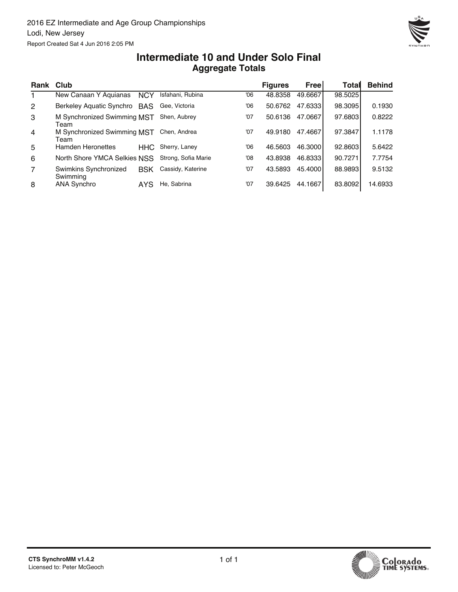

#### **Aggregate Totals Intermediate 10 and Under Solo Final**

| Rank Club      |                                     |            |                     |     | <b>Figures</b> | Free    | Totall  | <b>Behind</b> |
|----------------|-------------------------------------|------------|---------------------|-----|----------------|---------|---------|---------------|
| 1.             | New Canaan Y Aquianas               | <b>NCY</b> | Isfahani, Rubina    | '06 | 48.8358        | 49.6667 | 98.5025 |               |
| $\overline{2}$ | Berkeley Aquatic Synchro BAS        |            | Gee. Victoria       | 06' | 50.6762        | 47.6333 | 98.3095 | 0.1930        |
| 3              | M Synchronized Swimming MST<br>Team |            | Shen, Aubrey        | '07 | 50.6136        | 47.0667 | 97.6803 | 0.8222        |
| $\overline{4}$ | M Synchronized Swimming MST<br>Team |            | Chen, Andrea        | '07 | 49.9180        | 47.4667 | 97.3847 | 1.1178        |
| 5              | <b>Hamden Heronettes</b>            | HHC.       | Sherry, Laney       | 06' | 46.5603        | 46.3000 | 92.8603 | 5.6422        |
| 6              | North Shore YMCA Selkies NSS        |            | Strong, Sofia Marie | 08' | 43.8938        | 46.8333 | 90.7271 | 7.7754        |
| $\overline{7}$ | Swimkins Synchronized<br>Swimming   | <b>BSK</b> | Cassidy, Katerine   | '07 | 43.5893        | 45.4000 | 88.9893 | 9.5132        |
| 8              | <b>ANA Synchro</b>                  | AYS.       | He, Sabrina         | '07 | 39.6425        | 44.1667 | 83.8092 | 14.6933       |

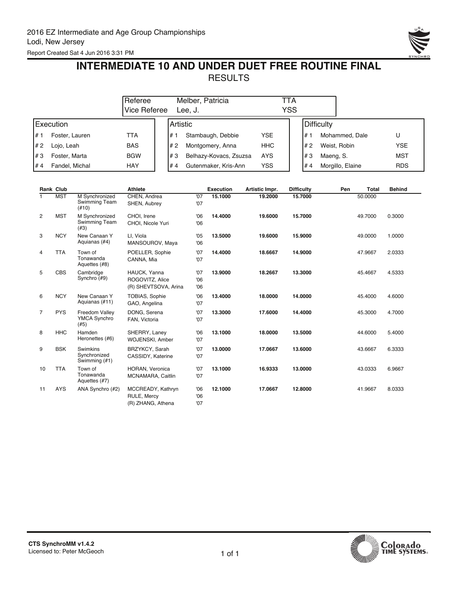

## **INTERMEDIATE 10 AND UNDER DUET FREE ROUTINE FINAL RESULTS**

|      | Referee        |              |                  | Melber, Patricia       | ГTA        |                 |                  |            |  |
|------|----------------|--------------|------------------|------------------------|------------|-----------------|------------------|------------|--|
|      |                | Vice Referee |                  | Lee. J.                | YSS        |                 |                  |            |  |
|      | Execution      |              | <b>IArtistic</b> |                        |            | Difficulty      |                  |            |  |
| l# 1 | Foster, Lauren | TTA          | l# 1             | Stambaugh, Debbie      | YSE        | ۰ # ا           | Mohammed, Dale   | U          |  |
| I# 2 | Lojo, Leah     | <b>BAS</b>   | #2               | Montgomery, Anna       | <b>HHC</b> | #2              | Weist, Robin     | <b>YSE</b> |  |
| I#3  | Foster, Marta  | <b>BGW</b>   | l#3              | Belhazy-Kovacs, Zsuzsa | <b>AYS</b> | #3<br>Maeng, S. |                  | MST        |  |
| I#4  | Fandel, Michal | HAY          | #4               | Gutenmaker, Kris-Ann   | YSS        | l#4             | Morgillo, Elaine | <b>RDS</b> |  |

|                | <b>Rank Club</b> |                                                    | <b>Athlete</b>                                          |                   | <b>Execution</b> | Artistic Impr. | <b>Difficulty</b> | Pen | <b>Total</b> | <b>Behind</b> |
|----------------|------------------|----------------------------------------------------|---------------------------------------------------------|-------------------|------------------|----------------|-------------------|-----|--------------|---------------|
|                | <b>MST</b>       | M Synchronized<br><b>Swimming Team</b><br>$(\#10)$ | CHEN, Andrea<br>SHEN, Aubrey                            | '07<br>'07        | 15.1000          | 19,2000        | 15.7000           |     | 50.0000      |               |
| 2              | <b>MST</b>       | M Synchronized<br>Swimming Team<br>(#3)            | CHOI, Irene<br>CHOI, Nicole Yuri                        | '06<br>'06        | 14.4000          | 19,6000        | 15.7000           |     | 49.7000      | 0.3000        |
| 3              | <b>NCY</b>       | New Canaan Y<br>Aquianas (#4)                      | LI, Viola<br>MANSOUROV, Maya                            | '05<br>06'        | 13.5000          | 19,6000        | 15.9000           |     | 49.0000      | 1.0000        |
| 4              | <b>TTA</b>       | Town of<br>Tonawanda<br>Aquettes (#8)              | POELLER, Sophie<br>CANNA, Mia                           | '07<br>'07        | 14.4000          | 18.6667        | 14.9000           |     | 47.9667      | 2.0333        |
| 5              | <b>CBS</b>       | Cambridge<br>Synchro (#9)                          | HAUCK, Yanna<br>ROGOVITZ, Alice<br>(R) SHEVTSOVA, Arina | '07<br>'06<br>06' | 13.9000          | 18.2667        | 13.3000           |     | 45.4667      | 4.5333        |
| 6              | <b>NCY</b>       | New Canaan Y<br>Aquianas (#11)                     | TOBIAS, Sophie<br>GAO, Angelina                         | 06<br>'07         | 13.4000          | 18.0000        | 14.0000           |     | 45.4000      | 4.6000        |
| $\overline{7}$ | <b>PYS</b>       | Freedom Valley<br><b>YMCA Synchro</b><br>(#5)      | DONG, Serena<br>FAN, Victoria                           | '07<br>'07        | 13.3000          | 17.6000        | 14.4000           |     | 45.3000      | 4.7000        |
| 8              | <b>HHC</b>       | Hamden<br>Heronettes (#6)                          | SHERRY, Laney<br>WOJENSKI, Amber                        | '06<br>'07        | 13.1000          | 18.0000        | 13.5000           |     | 44.6000      | 5.4000        |
| 9              | <b>BSK</b>       | Swimkins<br>Synchronized<br>Swimming (#1)          | BRZYKCY, Sarah<br>CASSIDY, Katerine                     | '07<br>'07        | 13.0000          | 17.0667        | 13.6000           |     | 43.6667      | 6.3333        |
| 10             | <b>TTA</b>       | Town of<br>Tonawanda<br>Aquettes (#7)              | HORAN, Veronica<br>MCNAMARA, Caitlin                    | '07<br>'07        | 13.1000          | 16.9333        | 13.0000           |     | 43.0333      | 6.9667        |
| 11             | <b>AYS</b>       | ANA Synchro (#2)                                   | MCCREADY, Kathryn<br>RULE, Mercy<br>(R) ZHANG, Athena   | '06<br>'06<br>'07 | 12.1000          | 17.0667        | 12.8000           |     | 41.9667      | 8.0333        |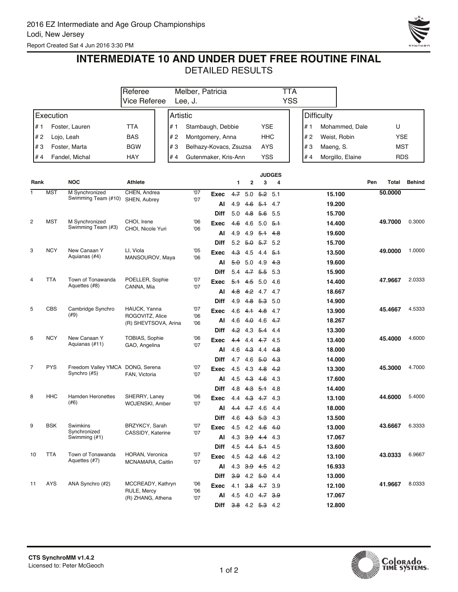Report Created Sat 4 Jun 2016 3:30 PM



## **INTERMEDIATE 10 AND UNDER DUET FREE ROUTINE FINAL**

| <b>YSS</b><br><b>Vice Referee</b><br>Lee, J.<br>Execution<br><b>Difficulty</b><br>Artistic<br># 1<br><b>TTA</b><br># 1<br>Stambaugh, Debbie<br><b>YSE</b><br># 1<br>Mohammed, Dale<br>Foster, Lauren<br><b>BAS</b><br><b>HHC</b><br>#2<br>#2<br>Montgomery, Anna<br>#2<br>Weist, Robin<br>Lojo, Leah<br><b>BGW</b><br>#3<br>Belhazy-Kovacs, Zsuzsa<br><b>AYS</b><br>#3<br>Maeng, S.<br>#3<br>Foster, Marta<br><b>YSS</b><br>Fandel, Michal<br>HAY<br>Gutenmaker, Kris-Ann<br>#4<br>Morgillo, Elaine<br>#4<br># 4<br><b>JUDGES</b><br><b>NOC</b><br>Athlete<br>Pen<br>Rank<br>Total<br>1<br>2<br>3<br>4<br><b>MST</b><br>M Synchronized<br>CHEN, Andrea<br>'07<br>50.0000<br>1<br>4.75.0<br>$5.2$ 5.1<br>15.100<br>Exec<br>Swimming Team (#10)<br>'07<br>SHEN, Aubrey<br>4.9<br>19.200<br>Al<br>46<br>5.1 4.7<br>$5.0 + 8$<br><del>5.6</del> 5.5<br><b>Diff</b><br>15.700 |               |
|--------------------------------------------------------------------------------------------------------------------------------------------------------------------------------------------------------------------------------------------------------------------------------------------------------------------------------------------------------------------------------------------------------------------------------------------------------------------------------------------------------------------------------------------------------------------------------------------------------------------------------------------------------------------------------------------------------------------------------------------------------------------------------------------------------------------------------------------------------------------------|---------------|
|                                                                                                                                                                                                                                                                                                                                                                                                                                                                                                                                                                                                                                                                                                                                                                                                                                                                          |               |
|                                                                                                                                                                                                                                                                                                                                                                                                                                                                                                                                                                                                                                                                                                                                                                                                                                                                          |               |
|                                                                                                                                                                                                                                                                                                                                                                                                                                                                                                                                                                                                                                                                                                                                                                                                                                                                          | U             |
|                                                                                                                                                                                                                                                                                                                                                                                                                                                                                                                                                                                                                                                                                                                                                                                                                                                                          | <b>YSE</b>    |
|                                                                                                                                                                                                                                                                                                                                                                                                                                                                                                                                                                                                                                                                                                                                                                                                                                                                          | MST           |
|                                                                                                                                                                                                                                                                                                                                                                                                                                                                                                                                                                                                                                                                                                                                                                                                                                                                          | <b>RDS</b>    |
|                                                                                                                                                                                                                                                                                                                                                                                                                                                                                                                                                                                                                                                                                                                                                                                                                                                                          |               |
|                                                                                                                                                                                                                                                                                                                                                                                                                                                                                                                                                                                                                                                                                                                                                                                                                                                                          | <b>Behind</b> |
|                                                                                                                                                                                                                                                                                                                                                                                                                                                                                                                                                                                                                                                                                                                                                                                                                                                                          |               |
|                                                                                                                                                                                                                                                                                                                                                                                                                                                                                                                                                                                                                                                                                                                                                                                                                                                                          |               |
|                                                                                                                                                                                                                                                                                                                                                                                                                                                                                                                                                                                                                                                                                                                                                                                                                                                                          |               |
| $\overline{2}$<br><b>MST</b><br>06<br>M Synchronized<br>CHOI, Irene<br>49.7000<br>4.6<br>4.6<br>$5.0 + 5.1$<br>14.400<br>Exec<br>Swimming Team (#3)                                                                                                                                                                                                                                                                                                                                                                                                                                                                                                                                                                                                                                                                                                                      | 0.3000        |
| CHOI, Nicole Yuri<br>06<br>4.9<br>$4.9$ 5.1 4.8<br>Al<br>19.600                                                                                                                                                                                                                                                                                                                                                                                                                                                                                                                                                                                                                                                                                                                                                                                                          |               |
| $5.2$ $5.0$ $5.7$ $5.2$<br>15.700<br><b>Diff</b>                                                                                                                                                                                                                                                                                                                                                                                                                                                                                                                                                                                                                                                                                                                                                                                                                         |               |
| 3<br><b>NCY</b><br>New Canaan Y<br>LI, Viola<br>'05<br>49.0000<br><b>Exec</b><br>$4.3$ 4.5<br>$4.4 \t 5.1$<br>13.500<br>Aquianas (#4)                                                                                                                                                                                                                                                                                                                                                                                                                                                                                                                                                                                                                                                                                                                                    | 1.0000        |
| MANSOUROV, Maya<br>06<br>19.600<br>5.0<br>5.0<br>4.9<br>Al<br>43                                                                                                                                                                                                                                                                                                                                                                                                                                                                                                                                                                                                                                                                                                                                                                                                         |               |
| $5.4$ $4.7$ $5.5$<br>5.3<br>15.900<br><b>Diff</b>                                                                                                                                                                                                                                                                                                                                                                                                                                                                                                                                                                                                                                                                                                                                                                                                                        |               |
| <b>TTA</b><br>Town of Tonawanda<br>'07<br>4<br>POELLER, Sophie<br>47.9667<br>$5+$<br>5.0<br>4.5<br>4.6<br>14.400<br>Exec                                                                                                                                                                                                                                                                                                                                                                                                                                                                                                                                                                                                                                                                                                                                                 | 2.0333        |
| Aquettes (#8)<br>CANNA, Mia<br>'07<br>4.7 4.7<br>4.8<br>4.2<br>18.667<br>Al                                                                                                                                                                                                                                                                                                                                                                                                                                                                                                                                                                                                                                                                                                                                                                                              |               |
| 4.9<br>4.8 5.3 5.0<br>14.900<br><b>Diff</b>                                                                                                                                                                                                                                                                                                                                                                                                                                                                                                                                                                                                                                                                                                                                                                                                                              |               |
| 5<br><b>CBS</b><br>HAUCK, Yanna<br>Cambridge Synchro<br>'07<br>45.4667<br><b>Exec</b><br>4.6<br>$4.8$ 4.7<br>13.900<br>4.1                                                                                                                                                                                                                                                                                                                                                                                                                                                                                                                                                                                                                                                                                                                                               | 4.5333        |
| (#9)<br>ROGOVITZ, Alice<br>06<br>4.6<br>4.0<br>4.6<br>18.267<br>Al<br>4.7<br>(R) SHEVTSOVA, Arina<br>06                                                                                                                                                                                                                                                                                                                                                                                                                                                                                                                                                                                                                                                                                                                                                                  |               |
| $4.2$ 4.3<br>13.300<br><b>Diff</b><br>$5.4$ 4.4                                                                                                                                                                                                                                                                                                                                                                                                                                                                                                                                                                                                                                                                                                                                                                                                                          |               |
| <b>NCY</b><br>6<br>New Canaan Y<br><b>TOBIAS, Sophie</b><br>06<br>45.4000<br>4.4<br>4.4<br>4.74.5<br>13.400<br>Exec                                                                                                                                                                                                                                                                                                                                                                                                                                                                                                                                                                                                                                                                                                                                                      | 4.6000        |
| Aquianas (#11)<br>GAO, Angelina<br>'07<br>4.6<br>4.3<br>4.4<br>$4-8$<br>18.000<br>Al                                                                                                                                                                                                                                                                                                                                                                                                                                                                                                                                                                                                                                                                                                                                                                                     |               |
| $4.7$ 4.6 5.0 4.3<br>14.000<br><b>Diff</b>                                                                                                                                                                                                                                                                                                                                                                                                                                                                                                                                                                                                                                                                                                                                                                                                                               |               |
| 7<br><b>PYS</b><br>Freedom Valley YMCA DONG, Serena<br>'07<br>45.3000<br>4.5<br><b>Exec</b><br>4.3<br>4.8 4.2<br>13.300                                                                                                                                                                                                                                                                                                                                                                                                                                                                                                                                                                                                                                                                                                                                                  | 4.7000        |
| Synchro (#5)<br>FAN, Victoria<br>'07<br>4.5<br>$4.6$ 4.3<br>17.600<br>AI<br><del>4.3</del>                                                                                                                                                                                                                                                                                                                                                                                                                                                                                                                                                                                                                                                                                                                                                                               |               |
| 4.8<br>$5.1$ 4.8<br>14.400<br><b>Diff</b><br>$4-3$                                                                                                                                                                                                                                                                                                                                                                                                                                                                                                                                                                                                                                                                                                                                                                                                                       |               |
| <b>HHC</b><br>8<br><b>Hamden Heronettes</b><br>SHERRY, Laney<br>06<br>44.6000<br>$4-3$<br>4.74.3<br>13.100<br>4.4<br>Exec                                                                                                                                                                                                                                                                                                                                                                                                                                                                                                                                                                                                                                                                                                                                                | 5.4000        |
| (#6)<br>WOJENSKI, Amber<br>'07<br>4.6<br>18.000<br>4.7<br>-4.4<br>Al                                                                                                                                                                                                                                                                                                                                                                                                                                                                                                                                                                                                                                                                                                                                                                                                     |               |
| 4.6 4.3 5.3 4.3<br>13.500<br><b>Diff</b>                                                                                                                                                                                                                                                                                                                                                                                                                                                                                                                                                                                                                                                                                                                                                                                                                                 |               |
| <b>BSK</b><br>Swimkins<br>BRZYKCY, Sarah<br>'07<br>9<br>43.6667<br>13.000<br>4.5 4.2 <del>4.6</del> 4.0<br>Exec                                                                                                                                                                                                                                                                                                                                                                                                                                                                                                                                                                                                                                                                                                                                                          | 6.3333        |
| Synchronized<br>'07<br>CASSIDY, Katerine<br>4.3 3.9 4.4 4.3<br>17.067<br>Al<br>Swimming (#1)                                                                                                                                                                                                                                                                                                                                                                                                                                                                                                                                                                                                                                                                                                                                                                             |               |
| 4.5 4.4 5.1 4.5<br>13.600<br>Diff                                                                                                                                                                                                                                                                                                                                                                                                                                                                                                                                                                                                                                                                                                                                                                                                                                        |               |
| <b>TTA</b><br>Town of Tonawanda<br>'07<br>10<br>HORAN, Veronica<br>43.0333<br>4.5 4.2 4.6 4.2<br>13.100<br>Exec                                                                                                                                                                                                                                                                                                                                                                                                                                                                                                                                                                                                                                                                                                                                                          |               |
| Aquettes (#7)<br>MCNAMARA, Caitlin<br>'07<br>4.3 3.9 4.5 4.2<br>16.933<br>Al                                                                                                                                                                                                                                                                                                                                                                                                                                                                                                                                                                                                                                                                                                                                                                                             | 6.9667        |
| $3.9$ 4.2 $5.0$ 4.4<br>13.000<br>Diff                                                                                                                                                                                                                                                                                                                                                                                                                                                                                                                                                                                                                                                                                                                                                                                                                                    |               |
| <b>AYS</b><br>ANA Synchro (#2)<br>MCCREADY, Kathryn<br>06<br>11<br>41.9667<br>4.1 3.8 4.7 3.9<br>12.100<br>Exec                                                                                                                                                                                                                                                                                                                                                                                                                                                                                                                                                                                                                                                                                                                                                          |               |
| RULE, Mercy<br>06<br>4.5 4.0 4.7 3.9<br>17.067<br>Al                                                                                                                                                                                                                                                                                                                                                                                                                                                                                                                                                                                                                                                                                                                                                                                                                     | 8.0333        |
| (R) ZHANG, Athena<br>'07<br>Diff 3.8 4.2 5.3 4.2<br>12.800                                                                                                                                                                                                                                                                                                                                                                                                                                                                                                                                                                                                                                                                                                                                                                                                               |               |

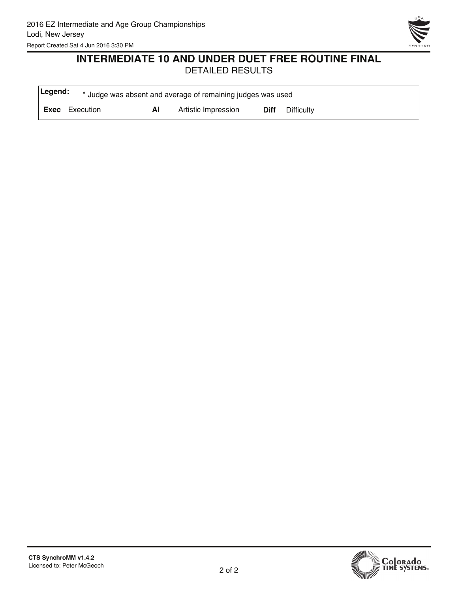

#### **INTERMEDIATE 10 AND UNDER DUET FREE ROUTINE FINAL** DETAILED RESULTS

| Legend: |                       |    | * Judge was absent and average of remaining judges was used |      |            |
|---------|-----------------------|----|-------------------------------------------------------------|------|------------|
|         | <b>Exec</b> Execution | ΑI | Artistic Impression                                         | Diff | Difficulty |

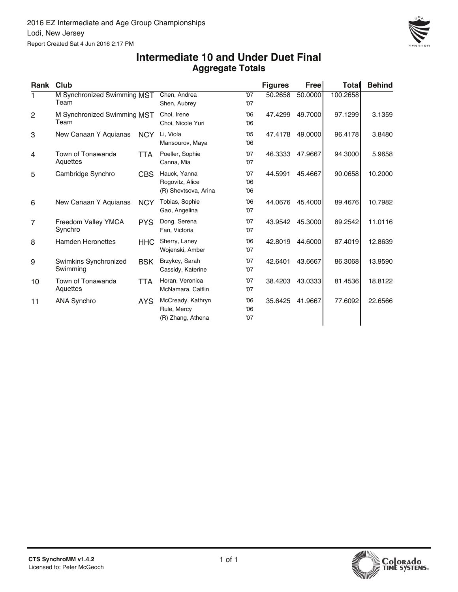

#### **Aggregate Totals Intermediate 10 and Under Duet Final**

| Rank           | Club                                |            |                                                         |                   | <b>Figures</b> | Free    | Total    | <b>Behind</b> |
|----------------|-------------------------------------|------------|---------------------------------------------------------|-------------------|----------------|---------|----------|---------------|
| 1              | M Synchronized Swimming MST<br>Team |            | Chen, Andrea<br>Shen, Aubrey                            | '07<br>'07        | 50.2658        | 50.0000 | 100.2658 |               |
| $\mathbf{2}$   | M Synchronized Swimming MST<br>Team |            | Choi, Irene<br>Choi, Nicole Yuri                        | 06'<br>06         | 47.4299        | 49.7000 | 97.1299  | 3.1359        |
| 3              | New Canaan Y Aquianas               | <b>NCY</b> | Li, Viola<br>Mansourov, Maya                            | '05<br>06'        | 47.4178        | 49.0000 | 96.4178  | 3.8480        |
| 4              | Town of Tonawanda<br>Aquettes       | TTA        | Poeller, Sophie<br>Canna, Mia                           | '07<br>'07        | 46.3333        | 47.9667 | 94.3000  | 5.9658        |
| 5              | Cambridge Synchro                   | <b>CBS</b> | Hauck, Yanna<br>Rogovitz, Alice<br>(R) Shevtsova, Arina | '07<br>06'<br>06' | 44.5991        | 45.4667 | 90.0658  | 10.2000       |
| 6              | New Canaan Y Aquianas               | <b>NCY</b> | Tobias, Sophie<br>Gao, Angelina                         | 06'<br>'07        | 44.0676        | 45.4000 | 89.4676  | 10.7982       |
| $\overline{7}$ | Freedom Valley YMCA<br>Synchro      | <b>PYS</b> | Dong, Serena<br>Fan, Victoria                           | '07<br>'07        | 43.9542        | 45.3000 | 89.2542  | 11.0116       |
| 8              | <b>Hamden Heronettes</b>            | <b>HHC</b> | Sherry, Laney<br>Wojenski, Amber                        | 06'<br>'07        | 42.8019        | 44.6000 | 87.4019  | 12.8639       |
| 9              | Swimkins Synchronized<br>Swimming   | <b>BSK</b> | Brzykcy, Sarah<br>Cassidy, Katerine                     | '07<br>'07        | 42.6401        | 43.6667 | 86.3068  | 13.9590       |
| 10             | Town of Tonawanda<br>Aquettes       | <b>TTA</b> | Horan, Veronica<br>McNamara, Caitlin                    | '07<br>'07        | 38.4203        | 43.0333 | 81.4536  | 18.8122       |
| 11             | <b>ANA Synchro</b>                  | <b>AYS</b> | McCready, Kathryn<br>Rule, Mercy<br>(R) Zhang, Athena   | 06'<br>06'<br>'07 | 35.6425        | 41.9667 | 77.6092  | 22.6566       |

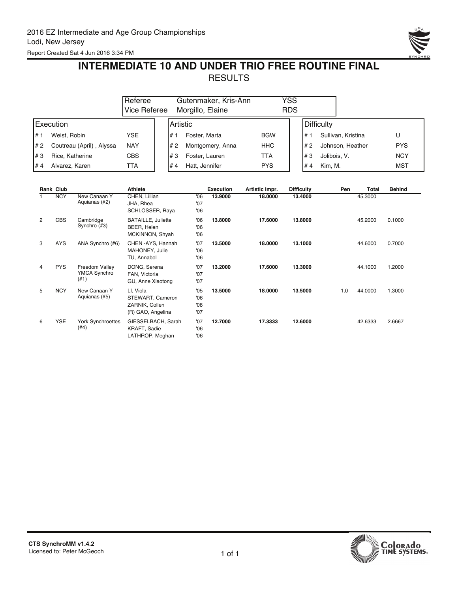

### **INTERMEDIATE 10 AND UNDER TRIO FREE ROUTINE FINAL RESULTS**

|      |                          | Referee<br>Vice Referee |  |      | Gutenmaker, Kris-Ann<br>Morgillo, Elaine |            | YSS<br><b>RDS</b> |               |                    |            |  |
|------|--------------------------|-------------------------|--|------|------------------------------------------|------------|-------------------|---------------|--------------------|------------|--|
|      | Execution                |                         |  |      | I Artistic                               |            |                   | Difficulty    |                    |            |  |
| l# 1 | Weist, Robin             | YSE                     |  | l# 1 | Foster, Marta                            | <b>BGW</b> |                   | #1            | Sullivan, Kristina | U          |  |
| I# 2 | Coutreau (April), Alyssa | <b>NAY</b>              |  | #2   | Montgomery, Anna                         | <b>HHC</b> |                   | l#2           | Johnson, Heather   | <b>PYS</b> |  |
| l#3  | Rice, Katherine          | <b>CBS</b>              |  | #3   | Foster, Lauren                           | TTA        |                   | #3            | Jolibois, V.       | <b>NCY</b> |  |
| I#4  | Alvarez, Karen           | TTA                     |  | #4   | Hatt. Jennifer                           | <b>PYS</b> |                   | Kim. M.<br>#4 |                    | MST        |  |

|   | Rank Club  |                                        | <b>Athlete</b>                                                       |                          | <b>Execution</b> | Artistic Impr. | <b>Difficulty</b> | Pen | Total   | <b>Behind</b> |
|---|------------|----------------------------------------|----------------------------------------------------------------------|--------------------------|------------------|----------------|-------------------|-----|---------|---------------|
|   | <b>NCY</b> | New Canaan Y<br>Aquianas (#2)          | CHEN, Lillian<br>JHA, Rhea<br>SCHLOSSER, Raya                        | 06<br>'07<br>06          | 13,9000          | 18.0000        | 13,4000           |     | 45.3000 |               |
| 2 | <b>CBS</b> | Cambridge<br>Synchro (#3)              | <b>BATAILLE, Juliette</b><br>BEER, Helen<br>MCKINNON, Shyah          | '06<br>'06<br>06         | 13,8000          | 17.6000        | 13,8000           |     | 45.2000 | 0.1000        |
| 3 | AYS        | ANA Synchro (#6)                       | CHEN-AYS, Hannah<br>MAHONEY, Julie<br>TU, Annabel                    | '07<br>'06<br>06         | 13,5000          | 18.0000        | 13.1000           |     | 44.6000 | 0.7000        |
| 4 | <b>PYS</b> | Freedom Valley<br>YMCA Synchro<br>(#1) | DONG, Serena<br>FAN, Victoria<br>GU, Anne Xiaotong                   | '07<br>'07<br>'07        | 13.2000          | 17.6000        | 13.3000           |     | 44.1000 | 1.2000        |
| 5 | <b>NCY</b> | New Canaan Y<br>Aquianas (#5)          | LI, Viola<br>STEWART, Cameron<br>ZARNIK, Collen<br>(R) GAO, Angelina | '05<br>'06<br>08'<br>'07 | 13.5000          | 18.0000        | 13.5000           | 1.0 | 44.0000 | 1.3000        |
| 6 | <b>YSE</b> | York Synchroettes<br>(#4)              | GIESSELBACH, Sarah<br>KRAFT, Sadie<br>LATHROP, Meghan                | '07<br>'06<br>'06        | 12.7000          | 17.3333        | 12,6000           |     | 42.6333 | 2.6667        |

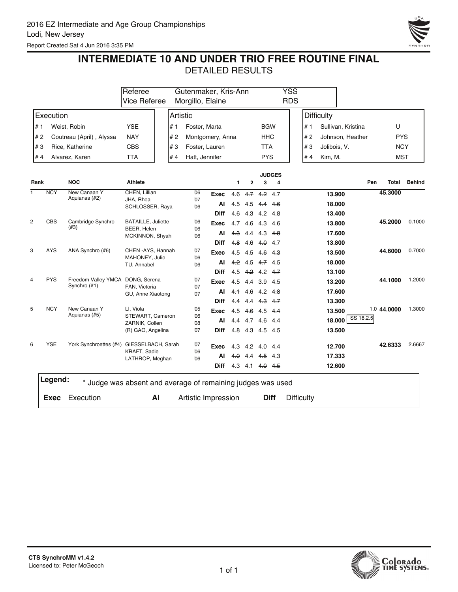

Report Created Sat 4 Jun 2016 3:35 PM

## **INTERMEDIATE 10 AND UNDER TRIO FREE ROUTINE FINAL**

|      |             |                                                             | Referee<br>Gutenmaker, Kris-Ann<br>Vice Referee<br>Morgillo, Elaine |          |                     |                  |     |           | <b>YSS</b><br><b>RDS</b> |                    |  |                   |                   |                    |             |               |
|------|-------------|-------------------------------------------------------------|---------------------------------------------------------------------|----------|---------------------|------------------|-----|-----------|--------------------------|--------------------|--|-------------------|-------------------|--------------------|-------------|---------------|
|      | Execution   |                                                             |                                                                     |          |                     |                  |     |           |                          |                    |  |                   | <b>Difficulty</b> |                    |             |               |
|      |             |                                                             |                                                                     | Artistic |                     |                  |     |           |                          |                    |  |                   |                   |                    |             |               |
| # 1  |             | Weist, Robin                                                | <b>YSE</b>                                                          | #1       | Foster, Marta       |                  |     |           | <b>BGW</b>               |                    |  | # 1               |                   | Sullivan, Kristina | U           |               |
| #2   |             | Coutreau (April), Alyssa                                    | <b>NAY</b>                                                          | #2       |                     | Montgomery, Anna |     |           | HHC                      |                    |  | # 2               |                   | Johnson, Heather   | <b>PYS</b>  |               |
| #3   |             | Rice, Katherine                                             | <b>CBS</b>                                                          | #3       | Foster, Lauren      |                  |     |           | TTA                      |                    |  | #3                | Jolibois, V.      |                    | <b>NCY</b>  |               |
| #4   |             | Alvarez, Karen                                              | <b>TTA</b>                                                          | #4       | Hatt, Jennifer      |                  |     |           | <b>PYS</b>               |                    |  | #4                | Kim, M.           |                    | <b>MST</b>  |               |
| Rank |             | <b>NOC</b>                                                  | <b>Athlete</b>                                                      |          |                     |                  | 1   | 2         | 3                        | <b>JUDGES</b><br>4 |  |                   |                   | Pen                | Total       | <b>Behind</b> |
| ī    | <b>NCY</b>  | New Canaan Y<br>Aquianas (#2)                               | CHEN, Lillian                                                       |          | 06                  | Exec             | 4.6 |           | $4.7$ $4.2$ $4.7$        |                    |  |                   | 13.900            |                    | 45.3000     |               |
|      |             |                                                             | JHA, Rhea<br>SCHLOSSER, Raya                                        |          | '07<br>'06          | Al               | 4.5 | 4.5       | $4.4 \quad 4.6$          |                    |  |                   | 18.000            |                    |             |               |
|      |             |                                                             |                                                                     |          |                     | <b>Diff</b>      | 4.6 |           | 4.3 4.2 4.8              |                    |  |                   | 13.400            |                    |             |               |
| 2    | <b>CBS</b>  | Cambridge Synchro<br>(#3)                                   | <b>BATAILLE, Juliette</b><br>BEER, Helen                            |          | 06<br>06            | Exec             | 4.7 | 4.6       | $4.3$ 4.6                |                    |  |                   | 13.800            |                    | 45.2000     | 0.1000        |
|      |             |                                                             | MCKINNON, Shyah                                                     |          | 06                  | AI               | 4.3 |           | 4.4 4.3 4.8              |                    |  |                   | 17.600            |                    |             |               |
|      |             |                                                             |                                                                     |          |                     | <b>Diff</b>      |     |           | 4.8 4.6 4.0 4.7          |                    |  |                   | 13.800            |                    |             |               |
| 3    | <b>AYS</b>  | ANA Synchro (#6)                                            | CHEN - AYS, Hannah<br>MAHONEY, Julie                                |          | '07<br>06           | Exec             |     | 4.5 4.5   | $4.6$ $4.3$              |                    |  |                   | 13.500            |                    | 44.6000     | 0.7000        |
|      |             |                                                             | TU, Annabel                                                         |          | '06                 | Al               |     |           | $4.2$ 4.5 $4.7$ 4.5      |                    |  |                   | 18.000            |                    |             |               |
|      |             |                                                             |                                                                     |          |                     | <b>Diff</b>      |     |           | 4.5 4.2 4.2 4.7          |                    |  |                   | 13.100            |                    |             |               |
| 4    | <b>PYS</b>  | Freedom Valley YMCA DONG, Serena<br>Synchro (#1)            | FAN, Victoria                                                       |          | '07<br>'07          | Exec             |     |           | 4.5 4.4 3.9 4.5          |                    |  |                   | 13.200            |                    | 44.1000     | 1.2000        |
|      |             |                                                             | GU, Anne Xiaotong                                                   |          | '07                 | AI               |     |           | $4.1$ 4.6 4.2 4.8        |                    |  |                   | 17.600            |                    |             |               |
|      |             |                                                             |                                                                     |          |                     | <b>Diff</b>      |     |           | 4.4 4.4 4.3 4.7          |                    |  |                   | 13.300            |                    |             |               |
| 5    | <b>NCY</b>  | New Canaan Y<br>Aquianas (#5)                               | LI, Viola<br>STEWART, Cameron                                       |          | '05<br>'06          | Exec             |     |           | 4.5 4.6 4.5 4.4          |                    |  |                   | 13.500            | SS 18.2.5          | 1.0 44,0000 | 1.3000        |
|      |             |                                                             | ZARNIK, Collen                                                      |          | 08'                 | Al               |     |           | 4.4 4.7 4.6 4.4          |                    |  |                   | 18.000            |                    |             |               |
|      |             |                                                             | (R) GAO, Angelina                                                   |          | '07                 | <b>Diff</b>      |     |           | 4.8 4.3 4.5 4.5          |                    |  |                   | 13.500            |                    |             |               |
| 6    | <b>YSE</b>  | York Synchroettes (#4) GIESSELBACH, Sarah                   |                                                                     |          | '07                 | Exec             |     |           | 4.3 4.2 4.0 4.4          |                    |  |                   | 12.700            |                    | 42.6333     | 2.6667        |
|      |             |                                                             | KRAFT, Sadie<br>LATHROP, Meghan                                     |          | 06'<br>'06          | Al               |     | $4.0$ 4.4 | $4.5$ 4.3                |                    |  |                   | 17.333            |                    |             |               |
|      |             |                                                             |                                                                     |          |                     | <b>Diff</b>      |     |           | 4.3 4.1 4.0 4.5          |                    |  |                   | 12.600            |                    |             |               |
|      | Legend:     | * Judge was absent and average of remaining judges was used |                                                                     |          |                     |                  |     |           |                          |                    |  |                   |                   |                    |             |               |
|      | <b>Exec</b> | Execution                                                   | AI                                                                  |          | Artistic Impression |                  |     |           | <b>Diff</b>              |                    |  | <b>Difficulty</b> |                   |                    |             |               |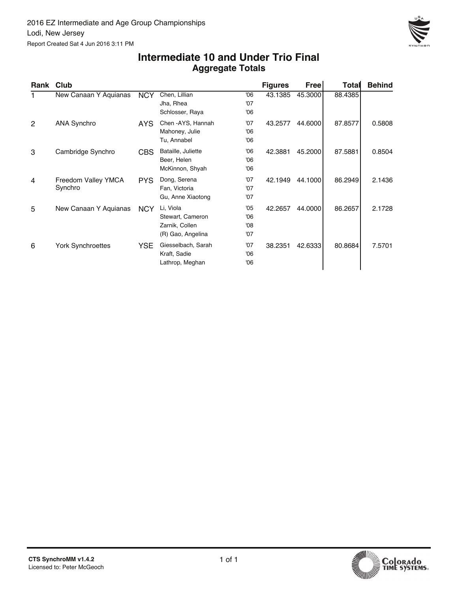

#### **Aggregate Totals Intermediate 10 and Under Trio Final**

| Rank Club |                                |            |                                                                      |                          | <b>Figures</b> | Free    | <b>Total</b> | <b>Behind</b> |
|-----------|--------------------------------|------------|----------------------------------------------------------------------|--------------------------|----------------|---------|--------------|---------------|
|           | New Canaan Y Aquianas          | <b>NCY</b> | Chen, Lillian<br>Jha, Rhea<br>Schlosser, Raya                        | 06'<br>'07<br>'06        | 43.1385        | 45.3000 | 88.4385      |               |
| 2         | <b>ANA Synchro</b>             | AYS.       | Chen - AYS, Hannah<br>Mahoney, Julie<br>Tu, Annabel                  | '07<br>06'<br>06'        | 43.2577        | 44.6000 | 87.8577      | 0.5808        |
| 3         | Cambridge Synchro              | CBS.       | Bataille, Juliette<br>Beer, Helen<br>McKinnon, Shyah                 | 06'<br>06'<br>06'        | 42.3881        | 45.2000 | 87.5881      | 0.8504        |
| 4         | Freedom Valley YMCA<br>Synchro | <b>PYS</b> | Dong, Serena<br>Fan, Victoria<br>Gu, Anne Xiaotong                   | '07<br>'07<br>'07        | 42.1949        | 44.1000 | 86.2949      | 2.1436        |
| 5         | New Canaan Y Aquianas          | <b>NCY</b> | Li, Viola<br>Stewart, Cameron<br>Zarnik, Collen<br>(R) Gao, Angelina | '05<br>06'<br>08'<br>'07 | 42.2657        | 44.0000 | 86.2657      | 2.1728        |
| 6         | <b>York Synchroettes</b>       | YSE.       | Giesselbach, Sarah<br>Kraft, Sadie<br>Lathrop, Meghan                | '07<br>06'<br>06'        | 38.2351        | 42.6333 | 80.8684      | 7.5701        |

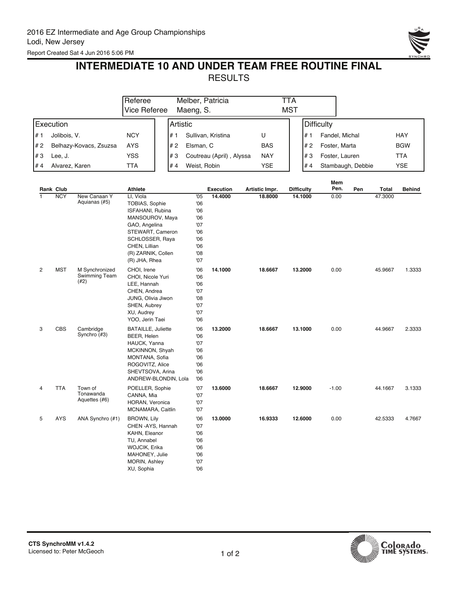

### **INTERMEDIATE 10 AND UNDER TEAM FREE ROUTINE FINAL** RESULTS

|                |                  |                                         | Referee                                                                                                                                                                            |          |                                                                  | Melber, Patricia         |                | TTA               |         |                   |                   |              |               |
|----------------|------------------|-----------------------------------------|------------------------------------------------------------------------------------------------------------------------------------------------------------------------------------|----------|------------------------------------------------------------------|--------------------------|----------------|-------------------|---------|-------------------|-------------------|--------------|---------------|
|                |                  |                                         | Vice Referee                                                                                                                                                                       |          | Maeng, S.                                                        |                          |                | <b>MST</b>        |         |                   |                   |              |               |
|                | Execution        |                                         |                                                                                                                                                                                    | Artistic |                                                                  |                          |                |                   |         | <b>Difficulty</b> |                   |              |               |
| # 1            | Jolibois, V.     |                                         | <b>NCY</b>                                                                                                                                                                         | #1       |                                                                  | Sullivan, Kristina       | U              |                   | # 1     | Fandel, Michal    |                   |              | HAY           |
| # 2            |                  | Belhazy-Kovacs, Zsuzsa                  | AYS                                                                                                                                                                                | # 2      | Elsman, C                                                        |                          | <b>BAS</b>     |                   | #2      | Foster, Marta     |                   |              | <b>BGW</b>    |
| #3             | Lee, J.          |                                         | <b>YSS</b>                                                                                                                                                                         | #3       |                                                                  | Coutreau (April), Alyssa | <b>NAY</b>     |                   | #3      | Foster, Lauren    |                   |              | <b>TTA</b>    |
| #4             | Alvarez, Karen   |                                         | <b>TTA</b>                                                                                                                                                                         | #4       | Weist, Robin                                                     |                          | <b>YSE</b>     |                   | #4      |                   | Stambaugh, Debbie |              | <b>YSE</b>    |
|                |                  |                                         |                                                                                                                                                                                    |          |                                                                  |                          |                |                   |         |                   |                   |              |               |
|                | <b>Rank Club</b> |                                         | <b>Athlete</b>                                                                                                                                                                     |          |                                                                  | <b>Execution</b>         | Artistic Impr. | <b>Difficulty</b> |         | Mem<br>Pen.       | Pen               | <b>Total</b> | <b>Behind</b> |
| ī              | <b>NCY</b>       | New Canaan Y<br>Aquianas (#5)           | LI, Viola<br>TOBIAS, Sophie<br>ISFAHANI, Rubina<br>MANSOUROV, Maya<br>GAO, Angelina<br>STEWART, Cameron<br>SCHLOSSER, Raya<br>CHEN, Lillian<br>(R) ZARNIK, Collen<br>(R) JHA, Rhea |          | '05<br>'06<br>'06<br>06<br>'07<br>'06<br>06<br>'06<br>'08<br>'07 | 14.4000                  | 18.8000        |                   | 14.1000 | 0.00              |                   | 47.3000      |               |
| $\overline{c}$ | <b>MST</b>       | M Synchronized<br>Swimming Team<br>(42) | CHOI, Irene<br>CHOI, Nicole Yuri<br>LEE, Hannah<br>CHEN, Andrea<br>JUNG, Olivia Jiwon<br>SHEN, Aubrey<br>XU, Audrey<br>YOO, Jerin Taei                                             |          | 06<br>'06<br>'06<br>'07<br>'08<br>'07<br>'07<br>06               | 14.1000                  | 18.6667        |                   | 13.2000 | 0.00              |                   | 45.9667      | 1.3333        |
| 3              | <b>CBS</b>       | Cambridge<br>Synchro (#3)               | <b>BATAILLE, Juliette</b><br>BEER, Helen<br>HAUCK, Yanna<br>MCKINNON, Shyah<br>MONTANA, Sofia<br>ROGOVITZ, Alice<br>SHEVTSOVA, Arina<br>ANDREW-BLONDIN, Lola                       |          | '06<br>'06<br>'07<br>'06<br>06<br>'06<br>06<br>06                | 13.2000                  | 18.6667        |                   | 13.1000 | 0.00              |                   | 44.9667      | 2.3333        |
| $\overline{4}$ | <b>TTA</b>       | Town of<br>Tonawanda<br>Aquettes (#6)   | POELLER, Sophie<br>CANNA, Mia<br>HORAN, Veronica<br>MCNAMARA, Caitlin                                                                                                              |          | '07<br>'07<br>'07<br>'07                                         | 13.6000                  | 18.6667        |                   | 12.9000 | $-1.00$           |                   | 44.1667      | 3.1333        |
| 5              | <b>AYS</b>       | ANA Synchro (#1)                        | <b>BROWN, Lily</b><br>CHEN - AYS, Hannah<br>KAHN, Eleanor<br>TU, Annabel<br>WOJCIK, Erika<br>MAHONEY, Julie<br>MORIN, Ashley<br>XU, Sophia                                         |          | '06<br>'07<br>06<br>06<br>'06<br>06<br>'07<br>'06                | 13.0000                  | 16.9333        |                   | 12.6000 | 0.00              |                   | 42.5333      | 4.7667        |

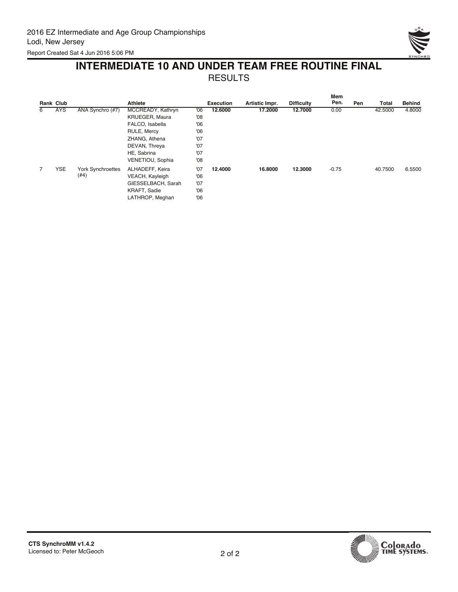

### **INTERMEDIATE 10 AND UNDER TEAM FREE ROUTINE FINAL** RESULTS

|   | <b>Rank Club</b> |                          | <b>Athlete</b>        |     | <b>Execution</b> | Artistic Impr. | <b>Difficulty</b> | <b>Mem</b><br>Pen. | Pen | Total   | <b>Behind</b> |
|---|------------------|--------------------------|-----------------------|-----|------------------|----------------|-------------------|--------------------|-----|---------|---------------|
| 6 | <b>AYS</b>       | ANA Synchro (#7)         | MCCREADY, Kathryn     | 06  | 12,6000          | 17.2000        | 12.7000           | 0.00               |     | 42,5000 | 4.8000        |
|   |                  |                          | <b>KRUEGER, Maura</b> | '08 |                  |                |                   |                    |     |         |               |
|   |                  |                          | FALCO, Isabella       | 06  |                  |                |                   |                    |     |         |               |
|   |                  |                          | RULE, Mercy           | 06  |                  |                |                   |                    |     |         |               |
|   |                  |                          | ZHANG, Athena         | '07 |                  |                |                   |                    |     |         |               |
|   |                  |                          | DEVAN, Threya         | '07 |                  |                |                   |                    |     |         |               |
|   |                  |                          | HE, Sabrina           | '07 |                  |                |                   |                    |     |         |               |
|   |                  |                          | VENETIOU, Sophia      | 08  |                  |                |                   |                    |     |         |               |
| 7 | <b>YSE</b>       | <b>York Synchroettes</b> | ALHADEFF, Keira       | '07 | 12,4000          | 16.8000        | 12,3000           | $-0.75$            |     | 40.7500 | 6.5500        |
|   |                  | (#4)                     | VEACH, Kayleigh       | 06  |                  |                |                   |                    |     |         |               |
|   |                  |                          | GIESSELBACH, Sarah    | '07 |                  |                |                   |                    |     |         |               |
|   |                  |                          | KRAFT, Sadie          | 06  |                  |                |                   |                    |     |         |               |
|   |                  |                          | LATHROP, Meghan       | 06  |                  |                |                   |                    |     |         |               |

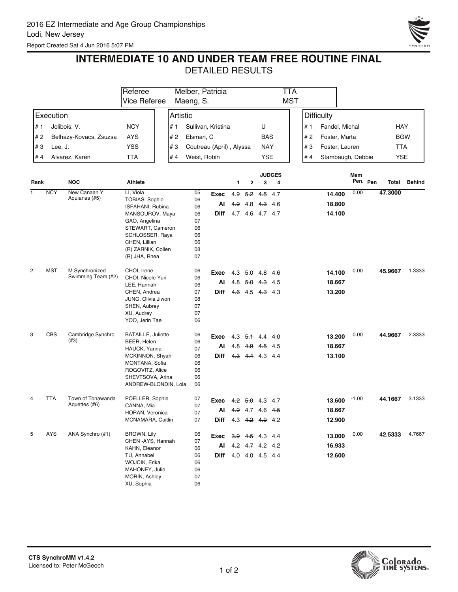Report Created Sat 4 Jun 2016 5:07 PM



### **INTERMEDIATE 10 AND UNDER TEAM FREE ROUTINE FINAL**

|      |            |                               | Referee                             |              | Melber, Patricia         |     |                   |               | <b>TTA</b>    |     |                   |         |          |            |               |
|------|------------|-------------------------------|-------------------------------------|--------------|--------------------------|-----|-------------------|---------------|---------------|-----|-------------------|---------|----------|------------|---------------|
|      |            |                               | Vice Referee                        | Maeng, S.    |                          |     |                   |               | <b>MST</b>    |     |                   |         |          |            |               |
|      | Execution  |                               | Artistic                            |              |                          |     |                   |               |               |     | <b>Difficulty</b> |         |          |            |               |
| # 1  |            | Jolibois, V.                  | <b>NCY</b><br># 1                   |              | Sullivan, Kristina       |     |                   | U             |               | # 1 | Fandel, Michal    |         |          | HAY        |               |
| # 2  |            | Belhazy-Kovacs, Zsuzsa        | AYS<br># 2                          | Elsman, C    |                          |     |                   | BAS           |               | #2  | Foster, Marta     |         |          |            | <b>BGW</b>    |
|      |            |                               |                                     |              |                          |     |                   |               |               |     |                   |         |          |            |               |
| #3   | Lee, J.    |                               | <b>YSS</b><br>#3                    |              | Coutreau (April), Alyssa |     |                   | <b>NAY</b>    |               | #3  | Foster, Lauren    |         |          | <b>TTA</b> |               |
| # 4  |            | Alvarez, Karen                | #4<br><b>TTA</b>                    | Weist, Robin |                          |     |                   | YSE           |               | #4  | Stambaugh, Debbie |         |          | <b>YSE</b> |               |
|      |            |                               |                                     |              |                          |     |                   |               | <b>JUDGES</b> |     |                   | Mem     |          |            |               |
| Rank |            | <b>NOC</b>                    | Athlete                             |              |                          | 1   | $\mathbf{2}$      | 3             | 4             |     |                   |         | Pen. Pen | Total      | <b>Behind</b> |
| 1    | <b>NCY</b> | New Canaan Y<br>Aquianas (#5) | LI, Viola                           | '05          | Exec                     | 4.9 |                   | $5.2$ 4.5 4.7 |               |     | 14.400            | 0.00    |          | 47.3000    |               |
|      |            |                               | TOBIAS, Sophie<br>ISFAHANI, Rubina  | 06<br>06     | Al                       |     | 4.9 4.8 4.3 4.6   |               |               |     | 18.800            |         |          |            |               |
|      |            |                               | MANSOUROV, Maya                     | 06           | Diff                     |     | 4.7 4.6 4.7 4.7   |               |               |     | 14.100            |         |          |            |               |
|      |            |                               | GAO, Angelina                       | '07          |                          |     |                   |               |               |     |                   |         |          |            |               |
|      |            |                               | STEWART, Cameron                    | '06          |                          |     |                   |               |               |     |                   |         |          |            |               |
|      |            |                               | SCHLOSSER, Raya<br>CHEN, Lillian    | 06<br>'06    |                          |     |                   |               |               |     |                   |         |          |            |               |
|      |            |                               | (R) ZARNIK, Collen                  | 08           |                          |     |                   |               |               |     |                   |         |          |            |               |
|      |            |                               | (R) JHA, Rhea                       | '07          |                          |     |                   |               |               |     |                   |         |          |            |               |
| 2    | <b>MST</b> | M Synchronized                | CHOI, Irene                         | '06          | Exec                     |     | 4.3 5.0 4.8 4.6   |               |               |     | 14.100            | 0.00    |          | 45.9667    | 1.3333        |
|      |            | Swimming Team (#2)            | CHOI, Nicole Yuri                   | 06           |                          |     |                   |               |               |     |                   |         |          |            |               |
|      |            |                               | LEE, Hannah                         | '06          | Al                       |     | 4.8 $5.0$ 4.3 4.5 |               |               |     | 18.667            |         |          |            |               |
|      |            |                               | CHEN, Andrea                        | '07          | <b>Diff</b>              |     | 4.6 4.5 4.3 4.3   |               |               |     | 13.200            |         |          |            |               |
|      |            |                               | JUNG, Olivia Jiwon                  | '08          |                          |     |                   |               |               |     |                   |         |          |            |               |
|      |            |                               | SHEN, Aubrey<br>XU, Audrey          | '07<br>'07   |                          |     |                   |               |               |     |                   |         |          |            |               |
|      |            |                               | YOO, Jerin Taei                     | '06          |                          |     |                   |               |               |     |                   |         |          |            |               |
| 3    | CBS        | Cambridge Synchro             | <b>BATAILLE, Juliette</b>           | '06          | Exec                     |     | 4.3 5.1 4.4 4.0   |               |               |     | 13.200            | 0.00    |          | 44.9667    | 2.3333        |
|      |            | (#3)                          | BEER, Helen                         | 06           |                          |     |                   |               |               |     |                   |         |          |            |               |
|      |            |                               | HAUCK, Yanna                        | '07          | Al                       |     | 4.8 4.9 4.5 4.5   |               |               |     | 18.667            |         |          |            |               |
|      |            |                               | MCKINNON, Shyah                     | '06          | Diff                     |     | 4.3 4.4 4.3 4.4   |               |               |     | 13.100            |         |          |            |               |
|      |            |                               | MONTANA, Sofia<br>ROGOVITZ, Alice   | '06<br>'06   |                          |     |                   |               |               |     |                   |         |          |            |               |
|      |            |                               | SHEVTSOVA, Arina                    | 06           |                          |     |                   |               |               |     |                   |         |          |            |               |
|      |            |                               | ANDREW-BLONDIN, Lola                | 06'          |                          |     |                   |               |               |     |                   |         |          |            |               |
| 4    | <b>TTA</b> | Town of Tonawanda             | POELLER, Sophie                     | '07          | Exec                     |     | 4.2 5.0 4.3 4.7   |               |               |     | 13.600            | $-1.00$ |          | 44.1667    | 3.1333        |
|      |            | Aquettes (#6)                 | CANNA, Mia                          | '07          | Al                       |     | 4.9 4.7 4.6 4.5   |               |               |     | 18.667            |         |          |            |               |
|      |            |                               | HORAN, Veronica                     | '07          |                          |     |                   |               |               |     |                   |         |          |            |               |
|      |            |                               | MCNAMARA, Caitlin                   | '07          | <b>Diff</b>              |     | 4.3 4.2 4.9 4.2   |               |               |     | 12.900            |         |          |            |               |
| 5    | <b>AYS</b> | ANA Synchro (#1)              | <b>BROWN, Lily</b>                  | '06          | Exec 3.9 4.5 4.3 4.4     |     |                   |               |               |     | 13.000            | 0.00    |          | 42.5333    | 4.7667        |
|      |            |                               | CHEN - AYS, Hannah<br>KAHN, Eleanor | '07<br>06    | AI                       |     | 4.2 4.7 4.2 4.2   |               |               |     | 16.933            |         |          |            |               |
|      |            |                               | TU, Annabel                         | 06           | Diff                     |     | 4.0 4.0 4.5 4.4   |               |               |     | 12.600            |         |          |            |               |
|      |            |                               | WOJCIK, Erika                       | 06           |                          |     |                   |               |               |     |                   |         |          |            |               |
|      |            |                               | MAHONEY, Julie                      | 06           |                          |     |                   |               |               |     |                   |         |          |            |               |
|      |            |                               | <b>MORIN, Ashley</b>                | '07          |                          |     |                   |               |               |     |                   |         |          |            |               |
|      |            |                               | XU, Sophia                          | 06           |                          |     |                   |               |               |     |                   |         |          |            |               |

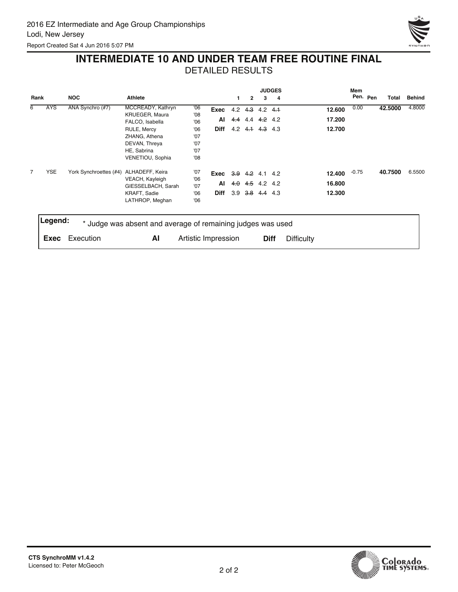

## **INTERMEDIATE 10 AND UNDER TEAM FREE ROUTINE FINAL**

|      |            |                                        |                                                             |                     |             |     |                |                         | <b>JUDGES</b> |                   | Mem     |          |         |               |
|------|------------|----------------------------------------|-------------------------------------------------------------|---------------------|-------------|-----|----------------|-------------------------|---------------|-------------------|---------|----------|---------|---------------|
| Rank |            | <b>NOC</b>                             | Athlete                                                     |                     |             | 1   | $\overline{2}$ | 3                       | 4             |                   |         | Pen. Pen | Total   | <b>Behind</b> |
| 6    | <b>AYS</b> | ANA Synchro (#7)                       | MCCREADY, Kathryn                                           | '06                 | Exec        | 4.2 | 4.3            |                         | $4.2 + 4.1$   | 12.600            | 0.00    |          | 42.5000 | 4.8000        |
|      |            |                                        | KRUEGER, Maura                                              | '08                 |             |     |                |                         |               |                   |         |          |         |               |
|      |            |                                        | FALCO, Isabella                                             | '06                 | AI          | 4.4 | 4.4            | 4.2 4.2                 |               | 17.200            |         |          |         |               |
|      |            |                                        | RULE, Mercy                                                 | '06                 | <b>Diff</b> |     |                | $4.2$ $4.1$ $4.3$ $4.3$ |               | 12.700            |         |          |         |               |
|      |            |                                        | ZHANG, Athena                                               | '07                 |             |     |                |                         |               |                   |         |          |         |               |
|      |            |                                        | DEVAN, Threya                                               | '07                 |             |     |                |                         |               |                   |         |          |         |               |
|      |            |                                        | HE, Sabrina                                                 | '07                 |             |     |                |                         |               |                   |         |          |         |               |
|      |            |                                        | VENETIOU, Sophia                                            | '08                 |             |     |                |                         |               |                   |         |          |         |               |
| 7    | <b>YSE</b> | York Synchroettes (#4) ALHADEFF, Keira |                                                             | '07                 | Exec        |     |                | $3.9$ 4.2 4.1 4.2       |               | 12.400            | $-0.75$ |          | 40.7500 | 6.5500        |
|      |            |                                        | VEACH, Kayleigh                                             | '06                 |             |     |                |                         |               |                   |         |          |         |               |
|      |            |                                        | GIESSELBACH, Sarah                                          | '07                 | Al          | 4.0 |                | 4.5 4.2 4.2             |               | 16.800            |         |          |         |               |
|      |            |                                        | KRAFT, Sadie                                                | '06                 | Diff        | 3.9 |                | <del>3.8</del> 4.4 4.3  |               | 12.300            |         |          |         |               |
|      |            |                                        | LATHROP, Meghan                                             | 06'                 |             |     |                |                         |               |                   |         |          |         |               |
|      | Legend:    |                                        |                                                             |                     |             |     |                |                         |               |                   |         |          |         |               |
|      |            |                                        | * Judge was absent and average of remaining judges was used |                     |             |     |                |                         |               |                   |         |          |         |               |
|      | Exec       | Execution                              | AI                                                          | Artistic Impression |             |     |                |                         | <b>Diff</b>   | <b>Difficulty</b> |         |          |         |               |
|      |            |                                        |                                                             |                     |             |     |                |                         |               |                   |         |          |         |               |

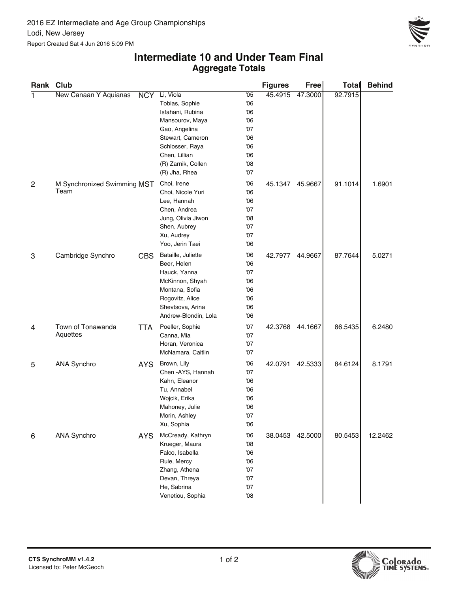

#### **Aggregate Totals Intermediate 10 and Under Team Final**

| Rank Club      |                             |                   |                      |     | <b>Figures</b> | Free    | <b>Total</b> | <b>Behind</b> |
|----------------|-----------------------------|-------------------|----------------------|-----|----------------|---------|--------------|---------------|
| 1              | New Canaan Y Aquianas       | <b>NCY</b>        | Li, Viola            | '05 | 45.4915        | 47.3000 | 92.7915      |               |
|                |                             |                   | Tobias, Sophie       | 06  |                |         |              |               |
|                |                             |                   | Isfahani, Rubina     | 06  |                |         |              |               |
|                |                             |                   | Mansourov, Maya      | 06  |                |         |              |               |
|                |                             |                   | Gao, Angelina        | '07 |                |         |              |               |
|                |                             |                   | Stewart, Cameron     | 06  |                |         |              |               |
|                |                             |                   | Schlosser, Raya      | 06  |                |         |              |               |
|                |                             |                   | Chen, Lillian        | 06  |                |         |              |               |
|                |                             |                   | (R) Zarnik, Collen   | 08  |                |         |              |               |
|                |                             |                   | (R) Jha, Rhea        | '07 |                |         |              |               |
| $\overline{c}$ | M Synchronized Swimming MST |                   | Choi, Irene          | 06  | 45.1347        | 45.9667 | 91.1014      | 1.6901        |
|                | Team                        | Choi, Nicole Yuri | 06                   |     |                |         |              |               |
|                |                             |                   | Lee, Hannah          | 06  |                |         |              |               |
|                |                             |                   | Chen, Andrea         | '07 |                |         |              |               |
|                |                             |                   | Jung, Olivia Jiwon   | 08  |                |         |              |               |
|                |                             |                   | Shen, Aubrey         | '07 |                |         |              |               |
|                |                             |                   | Xu, Audrey           | '07 |                |         |              |               |
|                |                             |                   | Yoo, Jerin Taei      | 06  |                |         |              |               |
| 3              | Cambridge Synchro           | CBS               | Bataille, Juliette   | 06  | 42.7977        | 44.9667 | 87.7644      | 5.0271        |
|                |                             |                   | Beer, Helen          | 06  |                |         |              |               |
|                |                             |                   | Hauck, Yanna         | '07 |                |         |              |               |
|                |                             |                   | McKinnon, Shyah      | 06  |                |         |              |               |
|                |                             |                   | Montana, Sofia       | 06  |                |         |              |               |
|                |                             |                   | Rogovitz, Alice      | 06  |                |         |              |               |
|                |                             |                   | Shevtsova, Arina     | 06  |                |         |              |               |
|                |                             |                   | Andrew-Blondin, Lola | 06  |                |         |              |               |
| 4              | Town of Tonawanda           | <b>TTA</b>        | Poeller, Sophie      | '07 | 42.3768        | 44.1667 | 86.5435      | 6.2480        |
|                | Aquettes                    |                   | Canna, Mia           | '07 |                |         |              |               |
|                |                             |                   | Horan, Veronica      | '07 |                |         |              |               |
|                |                             |                   | McNamara, Caitlin    | '07 |                |         |              |               |
| 5              | <b>ANA Synchro</b>          | <b>AYS</b>        | Brown, Lily          | 06  | 42.0791        | 42.5333 | 84.6124      | 8.1791        |
|                |                             |                   | Chen - AYS, Hannah   | '07 |                |         |              |               |
|                |                             |                   | Kahn, Eleanor        | 06  |                |         |              |               |
|                |                             |                   | Tu, Annabel          | 06  |                |         |              |               |
|                |                             |                   | Wojcik, Erika        | 06  |                |         |              |               |
|                |                             |                   | Mahoney, Julie       | 06  |                |         |              |               |
|                |                             |                   | Morin, Ashley        | '07 |                |         |              |               |
|                |                             |                   | Xu, Sophia           | '06 |                |         |              |               |
| 6              | <b>ANA Synchro</b>          | <b>AYS</b>        | McCready, Kathryn    | 06  | 38.0453        | 42.5000 | 80.5453      | 12.2462       |
|                |                             |                   | Krueger, Maura       | 08  |                |         |              |               |
|                |                             |                   | Falco, Isabella      | 06  |                |         |              |               |
|                |                             |                   | Rule, Mercy          | 06  |                |         |              |               |
|                |                             |                   | Zhang, Athena        | '07 |                |         |              |               |
|                |                             |                   | Devan, Threya        | '07 |                |         |              |               |
|                |                             |                   | He, Sabrina          | '07 |                |         |              |               |
|                |                             |                   | Venetiou, Sophia     | 08  |                |         |              |               |